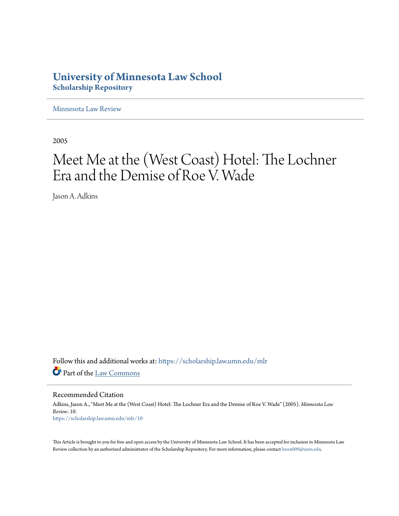# **University of Minnesota Law School [Scholarship Repository](https://scholarship.law.umn.edu?utm_source=scholarship.law.umn.edu%2Fmlr%2F10&utm_medium=PDF&utm_campaign=PDFCoverPages)**

[Minnesota Law Review](https://scholarship.law.umn.edu/mlr?utm_source=scholarship.law.umn.edu%2Fmlr%2F10&utm_medium=PDF&utm_campaign=PDFCoverPages)

2005

# Meet Me at the (West Coast) Hotel: The Lochner Era and the Demise of Roe V. Wade

Jason A. Adkins

Follow this and additional works at: [https://scholarship.law.umn.edu/mlr](https://scholarship.law.umn.edu/mlr?utm_source=scholarship.law.umn.edu%2Fmlr%2F10&utm_medium=PDF&utm_campaign=PDFCoverPages) Part of the [Law Commons](http://network.bepress.com/hgg/discipline/578?utm_source=scholarship.law.umn.edu%2Fmlr%2F10&utm_medium=PDF&utm_campaign=PDFCoverPages)

Recommended Citation

Adkins, Jason A., "Meet Me at the (West Coast) Hotel: The Lochner Era and the Demise of Roe V. Wade" (2005). *Minnesota Law Review*. 10. [https://scholarship.law.umn.edu/mlr/10](https://scholarship.law.umn.edu/mlr/10?utm_source=scholarship.law.umn.edu%2Fmlr%2F10&utm_medium=PDF&utm_campaign=PDFCoverPages)

This Article is brought to you for free and open access by the University of Minnesota Law School. It has been accepted for inclusion in Minnesota Law Review collection by an authorized administrator of the Scholarship Repository. For more information, please contact [lenzx009@umn.edu.](mailto:lenzx009@umn.edu)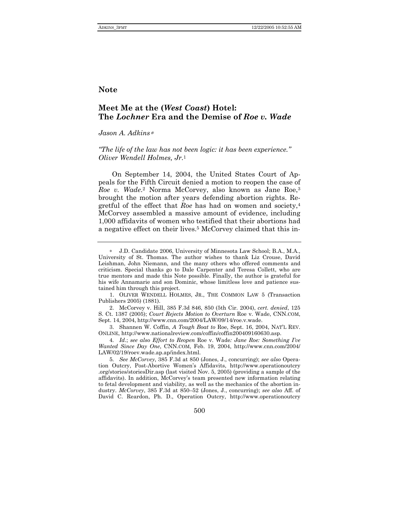### **Note**

## **Meet Me at the (***West Coast***) Hotel: The** *Lochner* **Era and the Demise of** *Roe v. Wade*

*Jason A. Adkins*<sup>∗</sup>

*<sup>8</sup>The life of the law has not been logic: it has been experience.*<sup>*n*</sup> *Oliver Wendell Holmes, Jr.*<sup>1</sup>

On September 14, 2004, the United States Court of Appeals for the Fifth Circuit denied a motion to reopen the case of *Roe v. Wade*.2 Norma McCorvey, also known as Jane Roe,3 brought the motion after years defending abortion rights. Regretful of the effect that *Roe* has had on women and society,4 McCorvey assembled a massive amount of evidence, including 1,000 affidavits of women who testified that their abortions had a negative effect on their lives.5 McCorvey claimed that this in-

1. OLIVER WENDELL HOLMES, JR., THE COMMON LAW 5 (Transaction Publishers 2005) (1881).

 2. McCorvey v. Hill, 385 F.3d 846, 850 (5th Cir. 2004), *cert. denied*, 125 S. Ct. 1387 (2005); *Court Rejects Motion to Overturn* Roe v. Wade, CNN.COM, Sept. 14, 2004, http://www.cnn.com/2004/LAW/09/14/roe.v.wade.

 3. Shannen W. Coffin, *A Tough Boat to* Roe, Sept. 16, 2004, NATíL REV. ONLINE, http://www.nationalreview.com/coffin/coffin200409160630.asp.

4*. Id*.; *see also Effort to Reopen* Roe v. Wade*: Jane Roe: Something Iíve Wanted Since Day One*, CNN.COM, Feb. 19, 2004, http://www.cnn.com/2004/ LAW/02/19/roev.wade.ap.ap/index.html.

5*. See McCorvey*, 385 F.3d at 850 (Jones, J., concurring); *see also* Operation Outcry, Post-Abortive Womenís Affidavits, http://www.operationoutcry .org/stories/storiesDir.asp (last visited Nov. 5, 2005) (providing a sample of the affidavits). In addition, McCorveyís team presented new information relating to fetal development and viability, as well as the mechanics of the abortion industry. *McCorvey*, 385 F.3d at 850–52 (Jones, J., concurring); see also Aff. of David C. Reardon, Ph. D., Operation Outcry, http://www.operationoutcry

500

<sup>∗</sup> J.D. Candidate 2006, University of Minnesota Law School; B.A., M.A., University of St. Thomas. The author wishes to thank Liz Crouse, David Leishman, John Niemann, and the many others who offered comments and criticism. Special thanks go to Dale Carpenter and Teresa Collett, who are true mentors and made this Note possible. Finally, the author is grateful for his wife Annamarie and son Dominic, whose limitless love and patience sustained him through this project.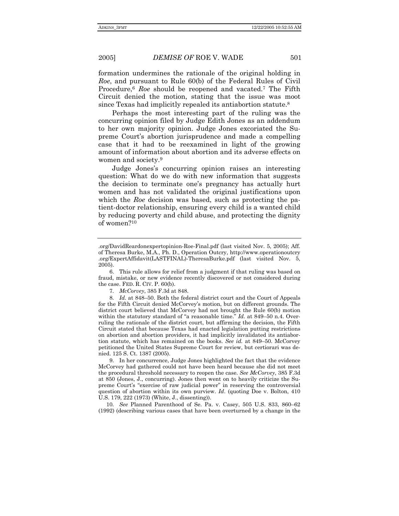formation undermines the rationale of the original holding in *Roe*, and pursuant to Rule 60(b) of the Federal Rules of Civil Procedure,6 *Roe* should be reopened and vacated.7 The Fifth Circuit denied the motion, stating that the issue was moot since Texas had implicitly repealed its antiabortion statute.8

Perhaps the most interesting part of the ruling was the concurring opinion filed by Judge Edith Jones as an addendum to her own majority opinion. Judge Jones excoriated the Supreme Court's abortion jurisprudence and made a compelling case that it had to be reexamined in light of the growing amount of information about abortion and its adverse effects on women and society.9

Judge Jonesís concurring opinion raises an interesting question: What do we do with new information that suggests the decision to terminate one's pregnancy has actually hurt women and has not validated the original justifications upon which the *Roe* decision was based, such as protecting the patient-doctor relationship, ensuring every child is a wanted child by reducing poverty and child abuse, and protecting the dignity of women?10

7*. McCorvey*, 385 F.3d at 848.

10. See Planned Parenthood of Se. Pa. v. Casey, 505 U.S. 833, 860-62 (1992) (describing various cases that have been overturned by a change in the

<sup>.</sup>org/DavidReardonexpertopinion-Roe-Final.pdf (last visited Nov. 5, 2005); Aff. of Theresa Burke, M.A., Ph. D., Operation Outcry, http://www.operationoutcry .org/ExpertAffidavit(LASTFINAL)-TheresaBurke.pdf (last visited Nov. 5, 2005).

 <sup>6.</sup> This rule allows for relief from a judgment if that ruling was based on fraud, mistake, or new evidence recently discovered or not considered during the case. FED. R. CIV. P. 60(b).

<sup>8.</sup> Id. at 848–50. Both the federal district court and the Court of Appeals for the Fifth Circuit denied McCorveyís motion, but on different grounds. The district court believed that McCorvey had not brought the Rule 60(b) motion within the statutory standard of "a reasonable time." *Id.* at 849–50 n.4. Overruling the rationale of the district court, but affirming the decision, the Fifth Circuit stated that because Texas had enacted legislation putting restrictions on abortion and abortion providers, it had implicitly invalidated its antiabortion statute, which has remained on the books. *See id.* at 849–50. McCorvey petitioned the United States Supreme Court for review, but certiorari was denied. 125 S. Ct. 1387 (2005).

 <sup>9.</sup> In her concurrence, Judge Jones highlighted the fact that the evidence McCorvey had gathered could not have been heard because she did not meet the procedural threshold necessary to reopen the case. *See McCorvey*, 385 F.3d at 850 (Jones, J., concurring). Jones then went on to heavily criticize the Supreme Court's "exercise of raw judicial power" in reserving the controversial question of abortion within its own purview. *Id*. (quoting Doe v. Bolton, 410 U.S. 179, 222 (1973) (White, J., dissenting)).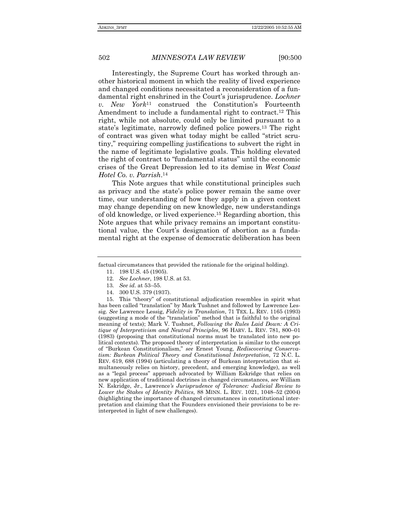Interestingly, the Supreme Court has worked through another historical moment in which the reality of lived experience and changed conditions necessitated a reconsideration of a fundamental right enshrined in the Court's jurisprudence. *Lochner v. New York*<sup>11</sup> construed the Constitution's Fourteenth Amendment to include a fundamental right to contract.12 This right, while not absolute, could only be limited pursuant to a state's legitimate, narrowly defined police powers.<sup>13</sup> The right of contract was given what today might be called "strict scrutiny," requiring compelling justifications to subvert the right in the name of legitimate legislative goals. This holding elevated the right of contract to "fundamental status" until the economic crises of the Great Depression led to its demise in *West Coast Hotel Co. v. Parrish*.14

This Note argues that while constitutional principles such as privacy and the state's police power remain the same over time, our understanding of how they apply in a given context may change depending on new knowledge, new understandings of old knowledge, or lived experience.15 Regarding abortion, this Note argues that while privacy remains an important constitutional value, the Court's designation of abortion as a fundamental right at the expense of democratic deliberation has been

- 12*. See Lochner*, 198 U.S. at 53.
- 13. See id. at 53–55.
- 14. 300 U.S. 379 (1937).

15. This "theory" of constitutional adjudication resembles in spirit what has been called "translation" by Mark Tushnet and followed by Lawrence Lessig. *See* Lawrence Lessig, *Fidelity in Translation*, 71 TEX. L. REV. 1165 (1993) (suggesting a mode of the "translation" method that is faithful to the original meaning of texts); Mark V. Tushnet, *Following the Rules Laid Down: A Critique of Interpretivism and Neutral Principles*, 96 HARV. L. REV. 781, 800-01 (1983) (proposing that constitutional norms must be translated into new political contexts). The proposed theory of interpretation is similar to the concept of ìBurkean Constitutionalism,î *see* Ernest Young, *Rediscovering Conservatism: Burkean Political Theory and Constitutional Interpretation*, 72 N.C. L. REV. 619, 688 (1994) (articulating a theory of Burkean interpretation that simultaneously relies on history, precedent, and emerging knowledge), as well as a "legal process" approach advocated by William Eskridge that relies on new application of traditional doctrines in changed circumstances, *see* William N. Eskridge, Jr., Lawrence*ís Jurisprudence of Tolerance: Judicial Review to Lower the Stakes of Identity Politics*, 88 MINN. L. REV. 1021, 1048–52 (2004) (highlighting the importance of changed circumstances in constitutional interpretation and claiming that the Founders envisioned their provisions to be reinterpreted in light of new challenges).

factual circumstances that provided the rationale for the original holding).

 <sup>11. 198</sup> U.S. 45 (1905).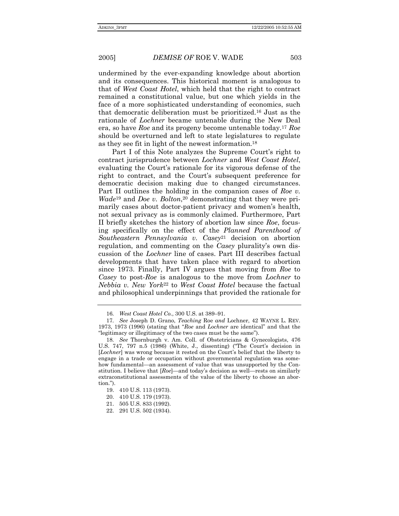undermined by the ever-expanding knowledge about abortion and its consequences. This historical moment is analogous to that of *West Coast Hotel*, which held that the right to contract remained a constitutional value, but one which yields in the face of a more sophisticated understanding of economics, such that democratic deliberation must be prioritized.16 Just as the rationale of *Lochner* became untenable during the New Deal era, so have *Roe* and its progeny become untenable today.17 *Roe*  should be overturned and left to state legislatures to regulate as they see fit in light of the newest information.18

Part I of this Note analyzes the Supreme Court's right to contract jurisprudence between *Lochner* and *West Coast Hotel*, evaluating the Court's rationale for its vigorous defense of the right to contract, and the Court's subsequent preference for democratic decision making due to changed circumstances. Part II outlines the holding in the companion cases of *Roe v. Wade*<sup>19</sup> and *Doe v. Bolton*<sup>20</sup> demonstrating that they were primarily cases about doctor-patient privacy and women's health, not sexual privacy as is commonly claimed. Furthermore, Part II briefly sketches the history of abortion law since *Roe*, focusing specifically on the effect of the *Planned Parenthood of Southeastern Pennsylvania v. Casey*21 decision on abortion regulation, and commenting on the *Casey* plurality's own discussion of the *Lochner* line of cases. Part III describes factual developments that have taken place with regard to abortion since 1973. Finally, Part IV argues that moving from *Roe* to *Casey* to post-*Roe* is analogous to the move from *Lochner* to *Nebbia v. New York*<sup>22</sup> to *West Coast Hotel* because the factual and philosophical underpinnings that provided the rationale for

<sup>16.</sup> *West Coast Hotel Co.*, 300 U.S. at 389–91.

<sup>17</sup>*. See* Joseph D. Grano, *Teaching* Roe *and* Lochner, 42 WAYNE L. REV. 1973, 1973 (1996) (stating that *<sup><i>Roe*</sup> and *Lochner* are identical" and that the "legitimacy or illegitimacy of the two cases must be the same").

<sup>18</sup>*. See* Thornburgh v. Am. Coll. of Obstetricians & Gynecologists, 476 U.S.  $747$ ,  $797$  n.5 (1986) (White, J., dissenting) ("The Court's decision in [*Lochner*] was wrong because it rested on the Court's belief that the liberty to engage in a trade or occupation without governmental regulation was somehow fundamental—an assessment of value that was unsupported by the Constitution. I believe that [*Roe*]—and today's decision as well—rests on similarly extraconstitutional assessments of the value of the liberty to choose an abortion.").

 <sup>19. 410</sup> U.S. 113 (1973).

 <sup>20. 410</sup> U.S. 179 (1973).

 <sup>21. 505</sup> U.S. 833 (1992).

 <sup>22. 291</sup> U.S. 502 (1934).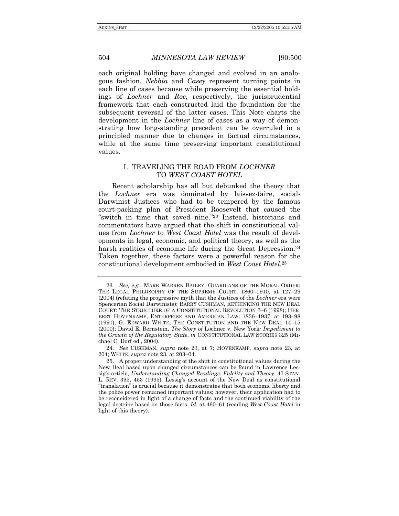each original holding have changed and evolved in an analogous fashion. *Nebbia* and *Casey* represent turning points in each line of cases because while preserving the essential holdings of *Lochner* and *Roe*, respectively, the jurisprudential framework that each constructed laid the foundation for the subsequent reversal of the latter cases. This Note charts the development in the *Lochner* line of cases as a way of demonstrating how long-standing precedent can be overruled in a principled manner due to changes in factual circumstances, while at the same time preserving important constitutional values.

#### I. TRAVELING THE ROAD FROM *LOCHNER* TO *WEST COAST HOTEL*

Recent scholarship has all but debunked the theory that the *Lochner* era was dominated by laissez-faire, social-Darwinist Justices who had to be tempered by the famous court-packing plan of President Roosevelt that caused the "switch in time that saved nine."<sup>23</sup> Instead, historians and commentators have argued that the shift in constitutional values from *Lochner* to *West Coast Hotel* was the result of developments in legal, economic, and political theory, as well as the harsh realities of economic life during the Great Depression.<sup>24</sup> Taken together, these factors were a powerful reason for the constitutional development embodied in *West Coast Hotel*.25

<sup>23</sup>*. See, e.g.*, MARK WARREN BAILEY, GUARDIANS OF THE MORAL ORDER: THE LEGAL PHILOSOPHY OF THE SUPREME COURT, 1860–1910, at 127–29 (2004) (refuting the progressive myth that the Justices of the *Lochner* era were Spencerian Social Darwinists); BARRY CUSHMAN, RETHINKING THE NEW DEAL COURT: THE STRUCTURE OF A CONSTITUTIONAL REVOLUTION 3-6 (1998); HER-BERT HOVENKAMP, ENTERPRISE AND AMERICAN LAW: 1836-1937, at 193-98 (1991); G. EDWARD WHITE, THE CONSTITUTION AND THE NEW DEAL 14-15 (2000); David E. Bernstein, *The Story of* Lochner v. New York*: Impediment to the Growth of the Regulatory State*, *in* CONSTITUTIONAL LAW STORIES 325 (Michael C. Dorf ed., 2004).

<sup>24</sup>*. See* CUSHMAN, *supra* note 23, at 7; HOVENKAMP, *supra* note 23, at 204; WHITE, *supra* note 23, at 203-04.

 <sup>25.</sup> A proper understanding of the shift in constitutional values during the New Deal based upon changed circumstances can be found in Lawrence Lessigís article, *Understanding Changed Readings: Fidelity and Theory*, 47 STAN. L. REV. 395, 453 (1995). Lessigís account of the New Deal as constitutional ìtranslationî is crucial because it demonstrates that both economic liberty and the police power remained important values; however, their application had to be reconsidered in light of a change of facts and the continued viability of the legal doctrine based on those facts. *Id.* at 460–61 (reading West Coast Hotel in light of this theory).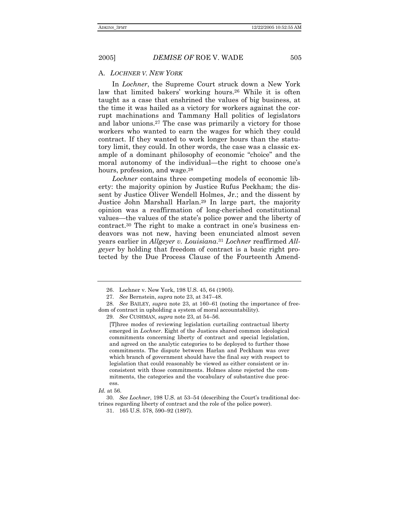#### A. *LOCHNER V. NEW YORK*

In *Lochner*, the Supreme Court struck down a New York law that limited bakers' working hours.<sup>26</sup> While it is often taught as a case that enshrined the values of big business, at the time it was hailed as a victory for workers against the corrupt machinations and Tammany Hall politics of legislators and labor unions.27 The case was primarily a victory for those workers who wanted to earn the wages for which they could contract. If they wanted to work longer hours than the statutory limit, they could. In other words, the case was a classic example of a dominant philosophy of economic "choice" and the moral autonomy of the individual—the right to choose one's hours, profession, and wage.<sup>28</sup>

*Lochner* contains three competing models of economic liberty: the majority opinion by Justice Rufus Peckham; the dissent by Justice Oliver Wendell Holmes, Jr.; and the dissent by Justice John Marshall Harlan.29 In large part, the majority opinion was a reaffirmation of long-cherished constitutional values—the values of the state's police power and the liberty of contract.<sup>30</sup> The right to make a contract in one's business endeavors was not new, having been enunciated almost seven years earlier in *Allgeyer v. Louisiana*.31 *Lochner* reaffirmed *Allgeyer* by holding that freedom of contract is a basic right protected by the Due Process Clause of the Fourteenth Amend-

 <sup>26.</sup> Lochner v. New York, 198 U.S. 45, 64 (1905).

<sup>27.</sup> See Bernstein, *supra* note 23, at 347-48.

<sup>28.</sup> See BAILEY, *supra* note 23, at 160–61 (noting the importance of freedom of contract in upholding a system of moral accountability). 29. See CUSHMAN, *supra* note 23, at 54–56.

<sup>[</sup>T]hree modes of reviewing legislation curtailing contractual liberty emerged in *Lochner*. Eight of the Justices shared common ideological commitments concerning liberty of contract and special legislation, and agreed on the analytic categories to be deployed to further those commitments. The dispute between Harlan and Peckham was over which branch of government should have the final say with respect to legislation that could reasonably be viewed as either consistent or inconsistent with those commitments. Holmes alone rejected the commitments, the categories and the vocabulary of substantive due process.

*Id.* at 56.

<sup>30.</sup> See Lochner, 198 U.S. at 53–54 (describing the Court's traditional doctrines regarding liberty of contract and the role of the police power).

<sup>31. 165</sup> U.S. 578, 590–92 (1897).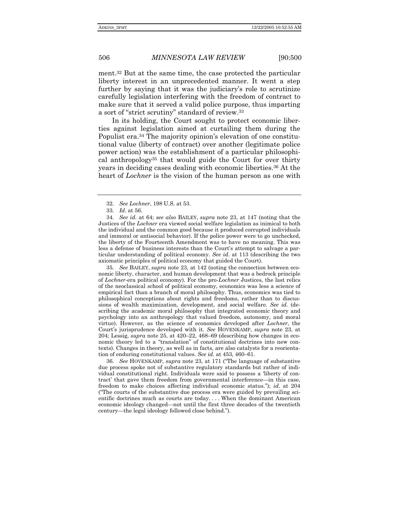ment.32 But at the same time, the case protected the particular liberty interest in an unprecedented manner. It went a step further by saying that it was the judiciary's role to scrutinize carefully legislation interfering with the freedom of contract to make sure that it served a valid police purpose, thus imparting a sort of "strict scrutiny" standard of review.<sup>33</sup>

In its holding, the Court sought to protect economic liberties against legislation aimed at curtailing them during the Populist era.<sup>34</sup> The majority opinion's elevation of one constitutional value (liberty of contract) over another (legitimate police power action) was the establishment of a particular philosophical anthropology35 that would guide the Court for over thirty years in deciding cases dealing with economic liberties.36 At the heart of *Lochner* is the vision of the human person as one with

34*. See id*. at 64; *see also* BAILEY, *supra* note 23, at 147 (noting that the Justices of the *Lochner* era viewed social welfare legislation as inimical to both the individual and the common good because it produced corrupted individuals and immoral or antisocial behavior). If the police power were to go unchecked, the liberty of the Fourteenth Amendment was to have no meaning. This was less a defense of business interests than the Court's attempt to salvage a particular understanding of political economy. *See id*. at 113 (describing the two axiomatic principles of political economy that guided the Court).

35*. See* BAILEY, *supra* note 23, at 142 (noting the connection between economic liberty, character, and human development that was a bedrock principle of *Lochner*-era political economy). For the pro-*Lochner* Justices, the last relics of the neoclassical school of political economy, economics was less a science of empirical fact than a branch of moral philosophy. Thus, economics was tied to philosophical conceptions about rights and freedoms, rather than to discussions of wealth maximization, development, and social welfare. *See id.* (describing the academic moral philosophy that integrated economic theory and psychology into an anthropology that valued freedom, autonomy, and moral virtue). However, as the science of economics developed after *Lochner*, the Courtís jurisprudence developed with it. *See* HOVENKAMP, *supra* note 23, at 204; Lessig, *supra* note 25, at  $420-22$ ,  $468-69$  (describing how changes in economic theory led to a "translation" of constitutional doctrines into new contexts). Changes in theory, as well as in facts, are also catalysts for a reorientation of enduring constitutional values. *See id.* at 453, 460–61.

36. See HOVENKAMP, *supra* note 23, at 171 ("The language of substantive due process spoke not of substantive regulatory standards but rather of individual constitutional right. Individuals were said to possess a ëliberty of contract' that gave them freedom from governmental interference—in this case, freedom to make choices affecting individual economic status.î); *id.* at 204 ("The courts of the substantive due process era were guided by prevailing scientific doctrines much as courts are today. . . . When the dominant American economic ideology changed—not until the first three decades of the twentieth century—the legal ideology followed close behind.").

<sup>32</sup>*. See Lochner*, 198 U.S. at 53.

<sup>33</sup>*. Id*. at 56.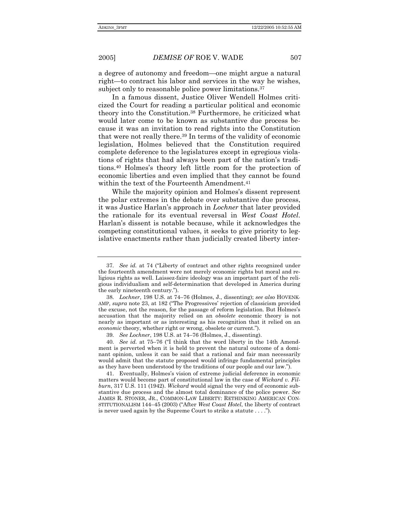a degree of autonomy and freedom—one might argue a natural right—to contract his labor and services in the way he wishes, subject only to reasonable police power limitations.<sup>37</sup>

In a famous dissent, Justice Oliver Wendell Holmes criticized the Court for reading a particular political and economic theory into the Constitution.38 Furthermore, he criticized what would later come to be known as substantive due process because it was an invitation to read rights into the Constitution that were not really there.39 In terms of the validity of economic legislation, Holmes believed that the Constitution required complete deference to the legislatures except in egregious violations of rights that had always been part of the nation's traditions.40 Holmesís theory left little room for the protection of economic liberties and even implied that they cannot be found within the text of the Fourteenth Amendment.<sup>41</sup>

While the majority opinion and Holmes's dissent represent the polar extremes in the debate over substantive due process, it was Justice Harlanís approach in *Lochner* that later provided the rationale for its eventual reversal in *West Coast Hotel*. Harlanís dissent is notable because, while it acknowledges the competing constitutional values, it seeks to give priority to legislative enactments rather than judicially created liberty inter-

<sup>37.</sup> See *id.* at 74 ("Liberty of contract and other rights recognized under the fourteenth amendment were not merely economic rights but moral and religious rights as well. Laissez-faire ideology was an important part of the religious individualism and self-determination that developed in America during the early nineteenth century.").

<sup>38.</sup> Lochner, 198 U.S. at 74-76 (Holmes, J., dissenting); see also HOVENK-AMP, *supra* note 23, at 182 ("The Progressives' rejection of classicism provided the excuse, not the reason, for the passage of reform legislation. But Holmesís accusation that the majority relied on an *obsolete* economic theory is not nearly as important or as interesting as his recognition that it relied on an *economic* theory, whether right or wrong, obsolete or current.").

<sup>39.</sup> See Lochner, 198 U.S. at 74–76 (Holmes, J., dissenting).

<sup>40.</sup> See *id.* at 75–76 ("I think that the word liberty in the 14th Amendment is perverted when it is held to prevent the natural outcome of a dominant opinion, unless it can be said that a rational and fair man necessarily would admit that the statute proposed would infringe fundamental principles as they have been understood by the traditions of our people and our law.î).

 <sup>41.</sup> Eventually, Holmesís vision of extreme judicial deference in economic matters would become part of constitutional law in the case of *Wickard v. Filburn*, 317 U.S. 111 (1942). *Wickard* would signal the very end of economic substantive due process and the almost total dominance of the police power. *See*  JAMES R. STONER, JR., COMMON-LAW LIBERTY: RETHINKING AMERICAN CON-STITUTIONALISM 144-45 (2003) ("After *West Coast Hotel*, the liberty of contract is never used again by the Supreme Court to strike a statute . . . .î).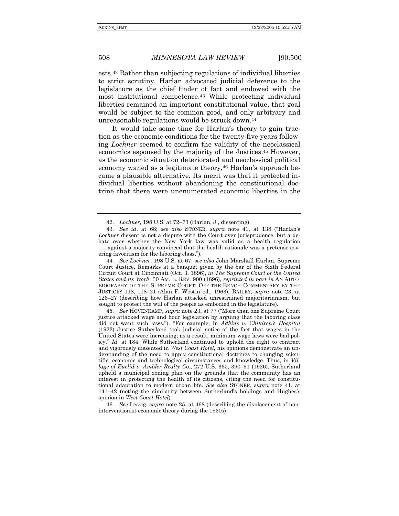ests.42 Rather than subjecting regulations of individual liberties to strict scrutiny, Harlan advocated judicial deference to the legislature as the chief finder of fact and endowed with the most institutional competence.43 While protecting individual liberties remained an important constitutional value, that goal would be subject to the common good, and only arbitrary and unreasonable regulations would be struck down.44

It would take some time for Harlan's theory to gain traction as the economic conditions for the twenty-five years following *Lochner* seemed to confirm the validity of the neoclassical economics espoused by the majority of the Justices.45 However, as the economic situation deteriorated and neoclassical political economy waned as a legitimate theory,<sup>46</sup> Harlan's approach became a plausible alternative. Its merit was that it protected individual liberties without abandoning the constitutional doctrine that there were unenumerated economic liberties in the

45. See HOVENKAMP, *supra* note 23, at 77 ("More than one Supreme Court justice attacked wage and hour legislation by arguing that the laboring class did not want such laws."). "For example, in *Adkins v. Children's Hospital* (1923) Justice Sutherland took judicial notice of the fact that wages in the United States were increasing; as a result, minimum wage laws were bad policy.î *Id.* at 184. While Sutherland continued to uphold the right to contract and vigorously dissented in *West Coast Hotel*, his opinions demonstrate an understanding of the need to apply constitutional doctrines to changing scientific, economic and technological circumstances and knowledge. Thus, in *Village of Euclid v. Ambler Realty Co.*, 272 U.S. 365, 390–91 (1926), Sutherland upheld a municipal zoning plan on the grounds that the community has an interest in protecting the health of its citizens, citing the need for constitutional adaptation to modern urban life. *See also* STONER, *supra* note 41, at  $141-42$  (noting the similarity between Sutherland's holdings and Hughes's opinion in *West Coast Hotel*).

46*. See* Lessig, *supra* note 25, at 468 (describing the displacement of noninterventionist economic theory during the 1930s).

<sup>42.</sup> *Lochner*, 198 U.S. at 72-73 (Harlan, J., dissenting).

<sup>43.</sup> See id. at 68; see also STONER, *supra* note 41, at 138 ("Harlan's *Lochner* dissent is not a dispute with the Court over jurisprudence, but a debate over whether the New York law was valid as a health regulation . . . against a majority convinced that the health rationale was a pretense covering favoritism for the laboring class.").

<sup>44</sup>*. See Lochner*, 198 U.S. at 67; *see also* John Marshall Harlan, Supreme Court Justice, Remarks at a banquet given by the bar of the Sixth Federal Circuit Court at Cincinnati (Oct. 3, 1896), *in The Supreme Court of the United States and its Work*, 30 AM. L. REV. 900 (1896), *reprinted in part in* AN AUTO-BIOGRAPHY OF THE SUPREME COURT: OFF-THE-BENCH COMMENTARY BY THE JUSTICES 118, 118<sup>-21</sup> (Alan F. Westin ed., 1963); BAILEY, *supra* note 23, at 126–27 (describing how Harlan attacked unrestrained majoritarianism, but sought to protect the will of the people as embodied in the legislature).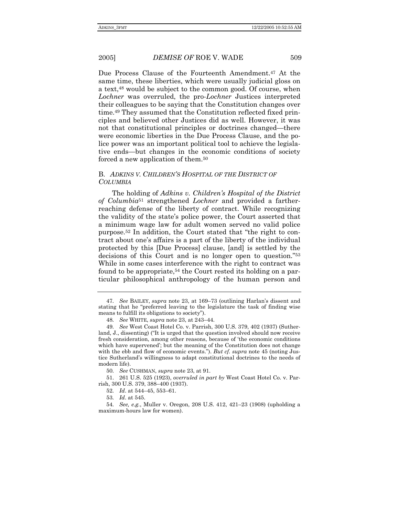Due Process Clause of the Fourteenth Amendment.47 At the same time, these liberties, which were usually judicial gloss on a text,<sup>48</sup> would be subject to the common good. Of course, when *Lochner* was overruled, the pro-*Lochner* Justices interpreted their colleagues to be saying that the Constitution changes over time.49 They assumed that the Constitution reflected fixed principles and believed other Justices did as well. However, it was not that constitutional principles or doctrines changed—there were economic liberties in the Due Process Clause, and the police power was an important political tool to achieve the legislative ends—but changes in the economic conditions of society forced a new application of them.50

#### B. *ADKINS V. CHILDRENíS HOSPITAL OF THE DISTRICT OF COLUMBIA*

The holding of *Adkins v. Childrenís Hospital of the District of Columbia*51 strengthened *Lochner* and provided a fartherreaching defense of the liberty of contract. While recognizing the validity of the stateís police power, the Court asserted that a minimum wage law for adult women served no valid police purpose.<sup>52</sup> In addition, the Court stated that "the right to contract about one's affairs is a part of the liberty of the individual protected by this [Due Process] clause, [and] is settled by the decisions of this Court and is no longer open to question.<sup>753</sup> While in some cases interference with the right to contract was found to be appropriate,<sup>54</sup> the Court rested its holding on a particular philosophical anthropology of the human person and

<sup>47.</sup> See BAILEY, *supra* note 23, at 169–73 (outlining Harlan's dissent and stating that he "preferred leaving to the legislature the task of finding wise means to fulfill its obligations to society").

<sup>48.</sup> See WHITE, *supra* note 23, at 243–44.

<sup>49</sup>*. See* West Coast Hotel Co. v. Parrish, 300 U.S. 379, 402 (1937) (Sutherland, J., dissenting) ("It is urged that the question involved should now receive fresh consideration, among other reasons, because of 'the economic conditions which have supervened; but the meaning of the Constitution does not change with the ebb and flow of economic events."). *But cf. supra* note 45 (noting Justice Sutherland's willingness to adapt constitutional doctrines to the needs of modern life).

<sup>50</sup>*. See* CUSHMAN, *supra* note 23, at 91.

 <sup>51. 261</sup> U.S. 525 (1923), *overruled in part by* West Coast Hotel Co. v. Parrish, 300 U.S. 379, 388-400 (1937).

<sup>52.</sup> *Id.* at 544–45, 553–61.

<sup>53</sup>*. Id*. at 545.

<sup>54.</sup> See, e.g., Muller v. Oregon, 208 U.S. 412, 421-23 (1908) (upholding a maximum-hours law for women).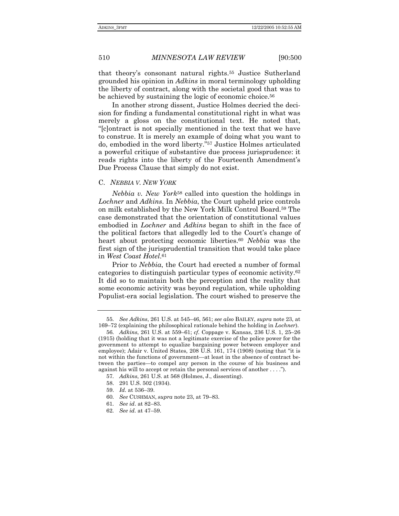that theoryís consonant natural rights.55 Justice Sutherland grounded his opinion in *Adkins* in moral terminology upholding the liberty of contract, along with the societal good that was to be achieved by sustaining the logic of economic choice.<sup>56</sup>

In another strong dissent, Justice Holmes decried the decision for finding a fundamental constitutional right in what was merely a gloss on the constitutional text. He noted that, ì[c]ontract is not specially mentioned in the text that we have to construe. It is merely an example of doing what you want to do, embodied in the word liberty."<sup>57</sup> Justice Holmes articulated a powerful critique of substantive due process jurisprudence: it reads rights into the liberty of the Fourteenth Amendment's Due Process Clause that simply do not exist.

#### C. *NEBBIA V. NEW YORK*

*Nebbia v. New York*58 called into question the holdings in *Lochner* and *Adkins*. In *Nebbia*, the Court upheld price controls on milk established by the New York Milk Control Board.59 The case demonstrated that the orientation of constitutional values embodied in *Lochner* and *Adkins* began to shift in the face of the political factors that allegedly led to the Court's change of heart about protecting economic liberties.60 *Nebbia* was the first sign of the jurisprudential transition that would take place in *West Coast Hotel*.61

Prior to *Nebbia*, the Court had erected a number of formal categories to distinguish particular types of economic activity.62 It did so to maintain both the perception and the reality that some economic activity was beyond regulation, while upholding Populist-era social legislation. The court wished to preserve the

- 59. *Id.* at 536-39.
- 60. See CUSHMAN, *supra* note 23, at 79-83.
- 61. See id. at 82–83.
- 62. See id. at 47–59.

<sup>55</sup>*. See Adkins*, 261 U.S. at 545–46, 561; *see also* BAILEY, *supra* note 23, at 169–72 (explaining the philosophical rationale behind the holding in *Lochner*).

<sup>56.</sup> Adkins, 261 U.S. at 559-61; *cf.* Coppage v. Kansas, 236 U.S. 1, 25-26 (1915) (holding that it was not a legitimate exercise of the police power for the government to attempt to equalize bargaining power between employer and employee); Adair v. United States,  $208$  U.S. 161, 174 (1908) (noting that "it is not within the functions of government—at least in the absence of contract between the parties-to compel any person in the course of his business and against his will to accept or retain the personal services of another  $\dots$ .").

<sup>57</sup>*. Adkins*, 261 U.S. at 568 (Holmes, J., dissenting).

 <sup>58. 291</sup> U.S. 502 (1934).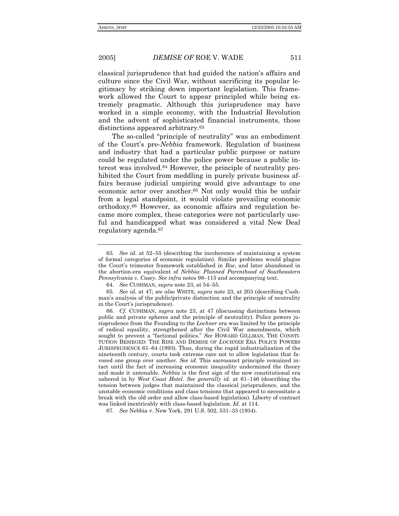classical jurisprudence that had guided the nation's affairs and culture since the Civil War, without sacrificing its popular legitimacy by striking down important legislation. This framework allowed the Court to appear principled while being extremely pragmatic. Although this jurisprudence may have worked in a simple economy, with the Industrial Revolution and the advent of sophisticated financial instruments, those distinctions appeared arbitrary.63

The so-called "principle of neutrality" was an embodiment of the Courtís pre-*Nebbia* framework. Regulation of business and industry that had a particular public purpose or nature could be regulated under the police power because a public interest was involved.64 However, the principle of neutrality prohibited the Court from meddling in purely private business affairs because judicial umpiring would give advantage to one economic actor over another.65 Not only would this be unfair from a legal standpoint, it would violate prevailing economic orthodoxy.66 However, as economic affairs and regulation became more complex, these categories were not particularly useful and handicapped what was considered a vital New Deal regulatory agenda.67

<sup>63.</sup> See id. at 52–55 (describing the incoherence of maintaining a system of formal categories of economic regulation). Similar problems would plague the Court's trimester framework established in *Roe*, and later abandoned in the abortion-era equivalent of *Nebbia*: *Planned Parenthood of Southeastern Pennsylvania v. Casey. See infra* notes 98–115 and accompanying text.

<sup>64.</sup> See CUSHMAN, *supra* note 23, at 54–55.

<sup>65</sup>*. See id.* at 47; *see also* WHITE, *supra* note 23, at 203 (describing Cushmanís analysis of the public/private distinction and the principle of neutrality in the Court's jurisprudence).

<sup>66</sup>*. Cf.* CUSHMAN, *supra* note 23, at 47 (discussing distinctions between public and private spheres and the principle of neutrality). Police powers jurisprudence from the Founding to the *Lochner* era was limited by the principle of radical equality, strengthened after the Civil War amendments, which sought to prevent a "factional politics." See HOWARD GILLMAN, THE CONSTI-TUTION BESIEGED: THE RISE AND DEMISE OF *LOCHNER* ERA POLICE POWERS JURISPRUDENCE  $61-64$  (1993). Thus, during the rapid industrialization of the nineteenth century, courts took extreme care not to allow legislation that favored one group over another. *See id.* This sacrosanct principle remained intact until the fact of increasing economic inequality undermined the theory and made it untenable. *Nebbia* is the first sign of the new constitutional era ushered in by *West Coast Hotel. See generally id.* at 61–146 (describing the tension between judges that maintained the classical jurisprudence, and the unstable economic conditions and class tensions that appeared to necessitate a break with the old order and allow class-based legislation). Liberty of contract was linked inextricably with class-based legislation. *Id.* at 114.

<sup>67.</sup> See Nebbia v. New York, 291 U.S. 502, 531–33 (1934).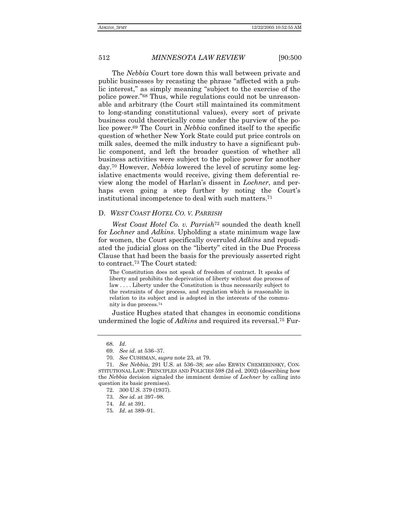The *Nebbia* Court tore down this wall between private and public businesses by recasting the phrase "affected with a public interest," as simply meaning "subject to the exercise of the police power."68 Thus, while regulations could not be unreasonable and arbitrary (the Court still maintained its commitment to long-standing constitutional values), every sort of private business could theoretically come under the purview of the police power.69 The Court in *Nebbia* confined itself to the specific question of whether New York State could put price controls on milk sales, deemed the milk industry to have a significant public component, and left the broader question of whether all business activities were subject to the police power for another day.70 However, *Nebbia* lowered the level of scrutiny some legislative enactments would receive, giving them deferential review along the model of Harlanís dissent in *Lochner*, and perhaps even going a step further by noting the Court's institutional incompetence to deal with such matters.71

#### D. *WEST COAST HOTEL CO. V. PARRISH*

*West Coast Hotel Co. v. Parrish*<sup>72</sup> sounded the death knell for *Lochner* and *Adkins*. Upholding a state minimum wage law for women, the Court specifically overruled *Adkins* and repudiated the judicial gloss on the "liberty" cited in the Due Process Clause that had been the basis for the previously asserted right to contract.73 The Court stated:

The Constitution does not speak of freedom of contract. It speaks of liberty and prohibits the deprivation of liberty without due process of law . . . . Liberty under the Constitution is thus necessarily subject to the restraints of due process, and regulation which is reasonable in relation to its subject and is adopted in the interests of the community is due process.74

Justice Hughes stated that changes in economic conditions undermined the logic of *Adkins* and required its reversal.75 Fur-

<sup>68</sup>*. Id*.

<sup>69.</sup> See *id*. at 536–37.

<sup>70</sup>*. See* CUSHMAN, *supra* note 23, at 79.

<sup>71.</sup> See Nebbia, 291 U.S. at 536-38; see also ERWIN CHEMERINSKY, CON-STITUTIONAL LAW: PRINCIPLES AND POLICIES 598 (2d ed. 2002) (describing how the *Nebbia* decision signaled the imminent demise of *Lochner* by calling into question its basic premises).

 <sup>72. 300</sup> U.S. 379 (1937).

<sup>73.</sup> See *id.* at 397-98.

<sup>74</sup>*. Id.* at 391.

<sup>75.</sup> *Id.* at 389-91.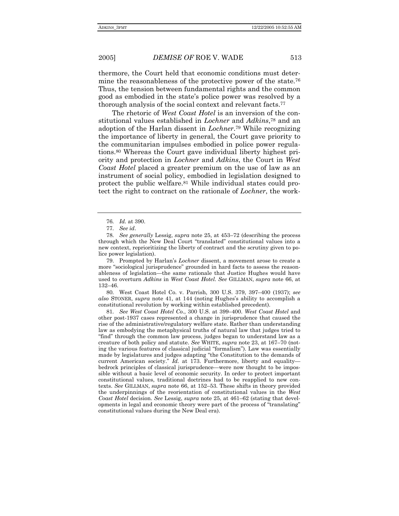thermore, the Court held that economic conditions must determine the reasonableness of the protective power of the state.<sup>76</sup> Thus, the tension between fundamental rights and the common good as embodied in the state's police power was resolved by a thorough analysis of the social context and relevant facts.77

The rhetoric of *West Coast Hotel* is an inversion of the constitutional values established in *Lochner* and *Adkins*,78 and an adoption of the Harlan dissent in *Lochner*.79 While recognizing the importance of liberty in general, the Court gave priority to the communitarian impulses embodied in police power regulations.80 Whereas the Court gave individual liberty highest priority and protection in *Lochner* and *Adkins*, the Court in *West Coast Hotel* placed a greater premium on the use of law as an instrument of social policy, embodied in legislation designed to protect the public welfare.81 While individual states could protect the right to contract on the rationale of *Lochner*, the work-

 79. Prompted by Harlanís *Lochner* dissent, a movement arose to create a more "sociological jurisprudence" grounded in hard facts to assess the reasonableness of legislation—the same rationale that Justice Hughes would have used to overturn *Adkins* in *West Coast Hotel*. *See* GILLMAN, *supra* note 66, at 132-46.

80. West Coast Hotel Co. v. Parrish, 300 U.S. 379, 397–400 (1937); see *also* STONER, *supra* note 41, at 144 (noting Hughesís ability to accomplish a constitutional revolution by working within established precedent).

81. See West Coast Hotel Co., 300 U.S. at 399–400. West Coast Hotel and other post-1937 cases represented a change in jurisprudence that caused the rise of the administrative/regulatory welfare state. Rather than understanding law as embodying the metaphysical truths of natural law that judges tried to "find" through the common law process, judges began to understand law as a creature of both policy and statute. *See* WHITE, *supra* note 23, at 167–70 (noting the various features of classical judicial "formalism"). Law was essentially made by legislatures and judges adapting "the Constitution to the demands of current American society.<sup>"</sup> *Id.* at 173. Furthermore, liberty and equalitybedrock principles of classical jurisprudence—were now thought to be impossible without a basic level of economic security. In order to protect important constitutional values, traditional doctrines had to be reapplied to new contexts. See GILLMAN, *supra* note 66, at 152-53. These shifts in theory provided the underpinnings of the reorientation of constitutional values in the *West Coast Hotel* decision. *See Lessig, <i>supra* note 25, at 461–62 (stating that developments in legal and economic theory were part of the process of "translating" constitutional values during the New Deal era).

<sup>76</sup>*. Id.* at 390.

<sup>77</sup>*. See id*.

<sup>78.</sup> See generally Lessig, *supra* note 25, at 453–72 (describing the process through which the New Deal Court "translated" constitutional values into a new context, reprioritizing the liberty of contract and the scrutiny given to police power legislation).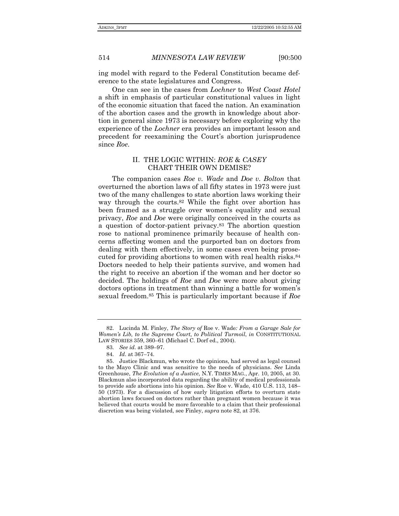ing model with regard to the Federal Constitution became deference to the state legislatures and Congress.

One can see in the cases from *Lochner* to *West Coast Hotel* a shift in emphasis of particular constitutional values in light of the economic situation that faced the nation. An examination of the abortion cases and the growth in knowledge about abortion in general since 1973 is necessary before exploring why the experience of the *Lochner* era provides an important lesson and precedent for reexamining the Court's abortion jurisprudence since *Roe*.

#### II. THE LOGIC WITHIN: *ROE* & *CASEY* CHART THEIR OWN DEMISE?

The companion cases *Roe v. Wade* and *Doe v. Bolton* that overturned the abortion laws of all fifty states in 1973 were just two of the many challenges to state abortion laws working their way through the courts.82 While the fight over abortion has been framed as a struggle over womenís equality and sexual privacy, *Roe* and *Doe* were originally conceived in the courts as a question of doctor-patient privacy.83 The abortion question rose to national prominence primarily because of health concerns affecting women and the purported ban on doctors from dealing with them effectively, in some cases even being prosecuted for providing abortions to women with real health risks.84 Doctors needed to help their patients survive, and women had the right to receive an abortion if the woman and her doctor so decided. The holdings of *Roe* and *Doe* were more about giving doctors options in treatment than winning a battle for women's sexual freedom.85 This is particularly important because if *Roe* 

 <sup>82.</sup> Lucinda M. Finley, *The Story of* Roe v. Wade*: From a Garage Sale for Womenís Lib, to the Supreme Court, to Political Turmoil*, *in* CONSTITUTIONAL LAW STORIES 359, 360-61 (Michael C. Dorf ed., 2004).

<sup>83.</sup> See id. at 389-97.

<sup>84.</sup> *Id.* at 367–74.

 <sup>85.</sup> Justice Blackmun, who wrote the opinions, had served as legal counsel to the Mayo Clinic and was sensitive to the needs of physicians. *See* Linda Greenhouse, *The Evolution of a Justice*, N.Y. TIMES MAG., Apr. 10, 2005, at 30. Blackmun also incorporated data regarding the ability of medical professionals to provide safe abortions into his opinion. *See* Roe v. Wade, 410 U.S. 113, 148– 50 (1973). For a discussion of how early litigation efforts to overturn state abortion laws focused on doctors rather than pregnant women because it was believed that courts would be more favorable to a claim that their professional discretion was being violated, see Finley, *supra* note 82, at 376.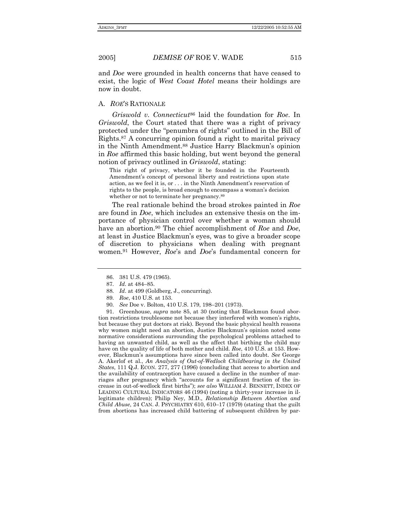and *Doe* were grounded in health concerns that have ceased to exist, the logic of *West Coast Hotel* means their holdings are

#### A. *ROE*íS RATIONALE

now in doubt.

*Griswold v. Connecticut*86 laid the foundation for *Roe*. In *Griswold*, the Court stated that there was a right of privacy protected under the "penumbra of rights" outlined in the Bill of Rights.87 A concurring opinion found a right to marital privacy in the Ninth Amendment.<sup>88</sup> Justice Harry Blackmun's opinion in *Roe* affirmed this basic holding, but went beyond the general notion of privacy outlined in *Griswold*, stating:

This right of privacy, whether it be founded in the Fourteenth Amendment's concept of personal liberty and restrictions upon state action, as we feel it is, or . . . in the Ninth Amendment's reservation of rights to the people, is broad enough to encompass a woman's decision whether or not to terminate her pregnancy.89

The real rationale behind the broad strokes painted in *Roe* are found in *Doe*, which includes an extensive thesis on the importance of physician control over whether a woman should have an abortion.90 The chief accomplishment of *Roe* and *Doe*, at least in Justice Blackmunís eyes, was to give a broader scope of discretion to physicians when dealing with pregnant women.91 However, *Roe*ís and *Doe*ís fundamental concern for

 91. Greenhouse, *supra* note 85, at 30 (noting that Blackmun found abortion restrictions troublesome not because they interfered with women's rights, but because they put doctors at risk). Beyond the basic physical health reasons why women might need an abortion, Justice Blackmunís opinion noted some normative considerations surrounding the psychological problems attached to having an unwanted child, as well as the affect that birthing the child may have on the quality of life of both mother and child. *Roe*, 410 U.S. at 153. However, Blackmunís assumptions have since been called into doubt. *See* George A. Akerlof et al., *An Analysis of Out-of-Wedlock Childbearing in the United States*, 111 Q.J. ECON. 277, 277 (1996) (concluding that access to abortion and the availability of contraception have caused a decline in the number of marriages after pregnancy which "accounts for a significant fraction of the increase in out-of-wedlock first birthsî); *see also* WILLIAM J. BENNETT, INDEX OF LEADING CULTURAL INDICATORS 46 (1994) (noting a thirty-year increase in illegitimate children); Philip Ney, M.D., *Relationship Between Abortion and Child Abuse*, 24 CAN. J. PSYCHIATRY 610, 610–17 (1979) (stating that the guilt from abortions has increased child battering of subsequent children by par-

 <sup>86. 381</sup> U.S. 479 (1965).

<sup>87.</sup> *Id.* at 484–85.

<sup>88</sup>*. Id*. at 499 (Goldberg, J., concurring).

<sup>89</sup>*. Roe*, 410 U.S. at 153.

<sup>90.</sup> See Doe v. Bolton, 410 U.S. 179, 198-201 (1973).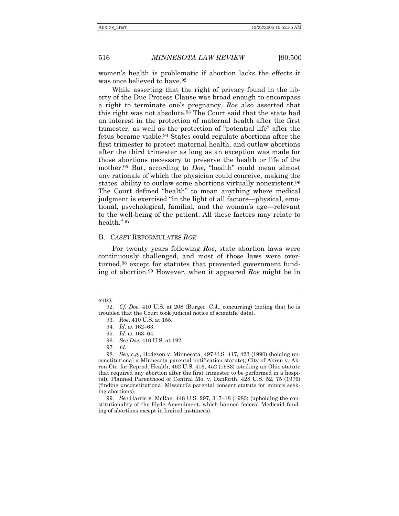women's health is problematic if abortion lacks the effects it was once believed to have.<sup>92</sup>

While asserting that the right of privacy found in the liberty of the Due Process Clause was broad enough to encompass a right to terminate oneís pregnancy, *Roe* also asserted that this right was not absolute.93 The Court said that the state had an interest in the protection of maternal health after the first trimester, as well as the protection of "potential life" after the fetus became viable.94 States could regulate abortions after the first trimester to protect maternal health, and outlaw abortions after the third trimester as long as an exception was made for those abortions necessary to preserve the health or life of the mother.<sup>95</sup> But, according to *Doe*, "health" could mean almost any rationale of which the physician could conceive, making the states' ability to outlaw some abortions virtually nonexistent.<sup>96</sup> The Court defined "health" to mean anything where medical judgment is exercised "in the light of all factors-physical, emotional, psychological, familial, and the woman's age—relevant to the well-being of the patient. All these factors may relate to health." 97

#### B. *CASEY* REFORMULATES *ROE*

For twenty years following *Roe*, state abortion laws were continuously challenged, and most of those laws were overturned,98 except for statutes that prevented government funding of abortion.99 However, when it appeared *Roe* might be in

ents).

<sup>92</sup>*. Cf. Doe*, 410 U.S. at 208 (Burger, C.J., concurring) (noting that he is troubled that the Court took judicial notice of scientific data).

<sup>93</sup>*. Roe*, 410 U.S. at 155.

<sup>94.</sup> *Id.* at 162–63.

<sup>95.</sup> *Id.* at 163–64.

<sup>96</sup>*. See Doe*, 410 U.S. at 192.

<sup>97</sup>*. Id.*

<sup>98</sup>*. See, e.g.*, Hodgson v. Minnesota, 497 U.S. 417, 423 (1990) (holding unconstitutional a Minnesota parental notification statute); City of Akron v. Akron Ctr. for Reprod. Health, 462 U.S. 416, 452 (1983) (striking an Ohio statute that required any abortion after the first trimester to be performed in a hospital); Planned Parenthood of Central Mo. v. Danforth, 428 U.S. 52, 75 (1976) (finding unconstitutional Missouriís parental consent statute for minors seeking abortions).

<sup>99.</sup> See Harris v. McRae, 448 U.S. 297, 317-18 (1980) (upholding the constitutionality of the Hyde Amendment, which banned federal Medicaid funding of abortions except in limited instances).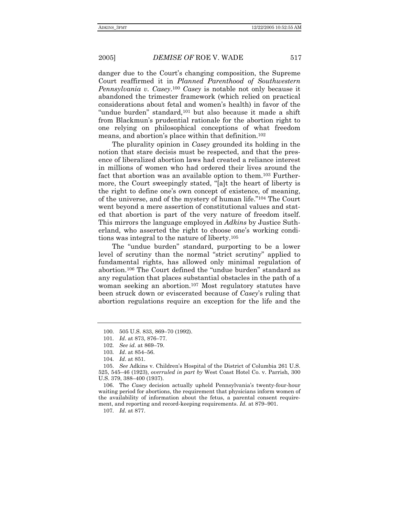danger due to the Courtís changing composition, the Supreme Court reaffirmed it in *Planned Parenthood of Southwestern Pennsylvania v. Casey*.100 *Casey* is notable not only because it abandoned the trimester framework (which relied on practical considerations about fetal and womenís health) in favor of the "undue burden" standard,<sup>101</sup> but also because it made a shift from Blackmunís prudential rationale for the abortion right to one relying on philosophical conceptions of what freedom means, and abortion's place within that definition.<sup>102</sup>

The plurality opinion in *Casey* grounded its holding in the notion that stare decisis must be respected, and that the presence of liberalized abortion laws had created a reliance interest in millions of women who had ordered their lives around the fact that abortion was an available option to them.103 Furthermore, the Court sweepingly stated, "[a]t the heart of liberty is the right to define one's own concept of existence, of meaning, of the universe, and of the mystery of human life.<sup>"104</sup> The Court went beyond a mere assertion of constitutional values and stated that abortion is part of the very nature of freedom itself. This mirrors the language employed in *Adkins* by Justice Sutherland, who asserted the right to choose one's working conditions was integral to the nature of liberty.105

The "undue burden" standard, purporting to be a lower level of scrutiny than the normal "strict scrutiny" applied to fundamental rights, has allowed only minimal regulation of abortion.<sup>106</sup> The Court defined the "undue burden" standard as any regulation that places substantial obstacles in the path of a woman seeking an abortion.107 Most regulatory statutes have been struck down or eviscerated because of *Casey*ís ruling that abortion regulations require an exception for the life and the

 106. The *Casey* decision actually upheld Pennsylvaniaís twenty-four-hour waiting period for abortions, the requirement that physicians inform women of the availability of information about the fetus, a parental consent requirement, and reporting and record-keeping requirements. *Id.* at 879-901.

107*. Id.* at 877.

<sup>100. 505</sup> U.S. 833, 869-70 (1992).

<sup>101.</sup> *Id.* at 873, 876–77.

<sup>102.</sup> See id. at 869–79.

<sup>103.</sup> *Id.* at 854-56.

<sup>104</sup>*. Id*. at 851.

<sup>105.</sup> *See* Adkins v. Childrenís Hospital of the District of Columbia 261 U.S. 525, 545-46 (1923), *overruled in part by* West Coast Hotel Co. v. Parrish, 300 U.S. 379, 388–400 (1937).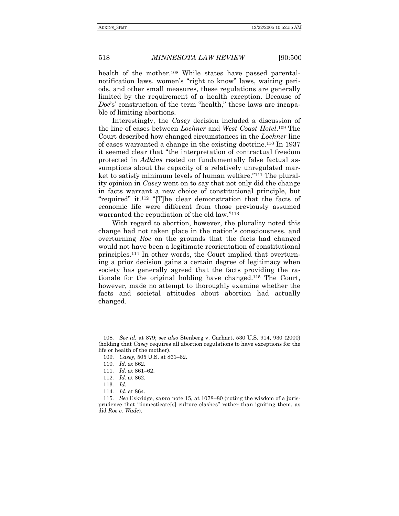health of the mother.108 While states have passed parentalnotification laws, women's "right to know" laws, waiting periods, and other small measures, these regulations are generally limited by the requirement of a health exception. Because of *Doe's'* construction of the term "health," these laws are incapable of limiting abortions.

Interestingly, the *Casey* decision included a discussion of the line of cases between *Lochner* and *West Coast Hotel*.109 The Court described how changed circumstances in the *Lochner* line of cases warranted a change in the existing doctrine.110 In 1937 it seemed clear that "the interpretation of contractual freedom protected in *Adkins* rested on fundamentally false factual assumptions about the capacity of a relatively unregulated market to satisfy minimum levels of human welfare."<sup>111</sup> The plurality opinion in *Casey* went on to say that not only did the change in facts warrant a new choice of constitutional principle, but "required" it.<sup>112</sup> "[T]he clear demonstration that the facts of economic life were different from those previously assumed warranted the repudiation of the old law."<sup>113</sup>

With regard to abortion, however, the plurality noted this change had not taken place in the nation's consciousness, and overturning *Roe* on the grounds that the facts had changed would not have been a legitimate reorientation of constitutional principles.114 In other words, the Court implied that overturning a prior decision gains a certain degree of legitimacy when society has generally agreed that the facts providing the rationale for the original holding have changed.115 The Court, however, made no attempt to thoroughly examine whether the facts and societal attitudes about abortion had actually changed.

<sup>108</sup>*. See id.* at 879; *see also* Stenberg v. Carhart, 530 U.S. 914, 930 (2000) (holding that *Casey* requires all abortion regulations to have exceptions for the life or health of the mother).

<sup>109.</sup> Casey, 505 U.S. at 861–62.

<sup>110</sup>*. Id*. at 862.

<sup>111.</sup> *Id.* at 861–62.

<sup>112</sup>*. Id*. at 862.

<sup>113</sup>*. Id.*

<sup>114</sup>*. Id*. at 864.

<sup>115.</sup> See Eskridge, *supra* note 15, at 1078–80 (noting the wisdom of a jurisprudence that "domesticate[s] culture clashes" rather than igniting them, as did *Roe v. Wade*).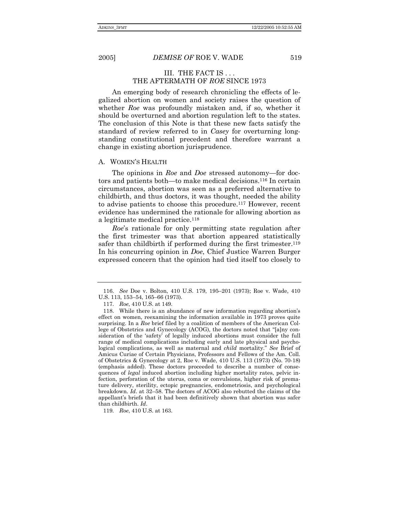#### III. THE FACT IS . . . THE AFTERMATH OF *ROE* SINCE 1973

An emerging body of research chronicling the effects of legalized abortion on women and society raises the question of whether *Roe* was profoundly mistaken and, if so, whether it should be overturned and abortion regulation left to the states. The conclusion of this Note is that these new facts satisfy the standard of review referred to in *Casey* for overturning longstanding constitutional precedent and therefore warrant a change in existing abortion jurisprudence.

#### A. WOMEN'S HEALTH

The opinions in *Roe* and *Doe* stressed autonomy—for doctors and patients both—to make medical decisions.<sup>116</sup> In certain circumstances, abortion was seen as a preferred alternative to childbirth, and thus doctors, it was thought, needed the ability to advise patients to choose this procedure.117 However, recent evidence has undermined the rationale for allowing abortion as a legitimate medical practice.118

*Roe*ís rationale for only permitting state regulation after the first trimester was that abortion appeared statistically safer than childbirth if performed during the first trimester.<sup>119</sup> In his concurring opinion in *Doe*, Chief Justice Warren Burger expressed concern that the opinion had tied itself too closely to

119*. Roe*, 410 U.S. at 163.

<sup>116.</sup> See Doe v. Bolton, 410 U.S. 179, 195-201 (1973); Roe v. Wade, 410 U.S. 113, 153-54, 165-66 (1973).

 <sup>117.</sup> *Roe*, 410 U.S. at 149.

<sup>118.</sup> While there is an abundance of new information regarding abortion's effect on women, reexamining the information available in 1973 proves quite surprising. In a *Roe* brief filed by a coalition of members of the American College of Obstetrics and Gynecology (ACOG), the doctors noted that "[a]ny consideration of the 'safety' of legally induced abortions must consider the full range of medical complications including early and late physical and psychological complications, as well as maternal and *child* mortality.<sup>"</sup> See Brief of Amicus Curiae of Certain Physicians, Professors and Fellows of the Am. Coll. of Obstetrics & Gynecology at 2, Roe v. Wade, 410 U.S. 113 (1973) (No. 70-18) (emphasis added). These doctors proceeded to describe a number of consequences of *legal* induced abortion including higher mortality rates, pelvic infection, perforation of the uterus, coma or convulsions, higher risk of premature delivery, sterility, ectopic pregnancies, endometriosis, and psychological breakdown. *Id.* at 32–58. The doctors of ACOG also rebutted the claims of the appellant's briefs that it had been definitively shown that abortion was safer than childbirth. *Id*.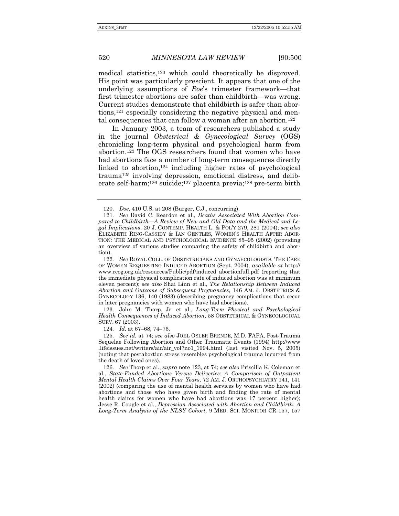medical statistics,120 which could theoretically be disproved. His point was particularly prescient. It appears that one of the underlying assumptions of *Roe's* trimester framework—that first trimester abortions are safer than childbirth—was wrong. Current studies demonstrate that childbirth is safer than abortions,121 especially considering the negative physical and mental consequences that can follow a woman after an abortion.122

In January 2003, a team of researchers published a study in the journal *Obstetrical & Gynecological Survey* (OGS) chronicling long-term physical and psychological harm from abortion.123 The OGS researchers found that women who have had abortions face a number of long-term consequences directly linked to abortion,  $124$  including higher rates of psychological trauma125 involving depression, emotional distress, and deliberate self-harm;126 suicide;127 placenta previa;128 pre-term birth

124. *Id.* at 67-68, 74-76.

125*. See id.* at 74; *see also* JOEL OSLER BRENDE, M.D. FAPA, Post-Trauma Sequelae Following Abortion and Other Traumatic Events (1994) http://www .lifeissues.net/writers/air/air\_vol7no1\_1994.html (last visited Nov. 5, 2005) (noting that postabortion stress resembles psychological trauma incurred from the death of loved ones).

126*. See* Thorp et al., *supra* note 123, at 74; *see also* Priscilla K. Coleman et al., *State-Funded Abortions Versus Deliveries: A Comparison of Outpatient Mental Health Claims Over Four Years*, 72 AM. J. ORTHOPSYCHIATRY 141, 141 (2002) (comparing the use of mental health services by women who have had abortions and those who have given birth and finding the rate of mental health claims for women who have had abortions was 17 percent higher); Jesse R. Cougle et al., *Depression Associated with Abortion and Childbirth: A Long-Term Analysis of the NLSY Cohort*, 9 MED. SCI. MONITOR CR 157, 157

 <sup>120.</sup> *Doe*, 410 U.S. at 208 (Burger, C.J., concurring).

<sup>121</sup>*. See* David C. Reardon et al., *Deaths Associated With Abortion Com*pared to Childbirth—A Review of New and Old Data and the Medical and Le*gal Implications*, 20 J. CONTEMP. HEALTH L. & POLíY 279, 281 (2004); *see also*  ELIZABETH RING-CASSIDY & IAN GENTLES, WOMENíS HEALTH AFTER ABOR-TION: THE MEDICAL AND PSYCHOLOGICAL EVIDENCE 85-95 (2002) (providing an overview of various studies comparing the safety of childbirth and abortion).

<sup>122</sup>*. See* ROYAL COLL. OF OBSTETRICIANS AND GYNAECOLOGISTS, THE CARE OF WOMEN REQUESTING INDUCED ABORTION (Sept. 2004), *available at* http:// www.rcog.org.uk/resources/Public/pdf/induced\_abortionfull.pdf (reporting that the immediate physical complication rate of induced abortion was at minimum eleven percent); *see also* Shai Linn et al., *The Relationship Between Induced Abortion and Outcome of Subsequent Pregnancies*, 146 AM. J. OBSTETRICS & GYNECOLOGY 136, 140 (1983) (describing pregnancy complications that occur in later pregnancies with women who have had abortions).

 <sup>123.</sup> John M. Thorp, Jr. et al., *Long-Term Physical and Psychological Health Consequences of Induced Abortion*, 58 OBSTETRICAL & GYNECOLOGICAL SURV. 67 (2003).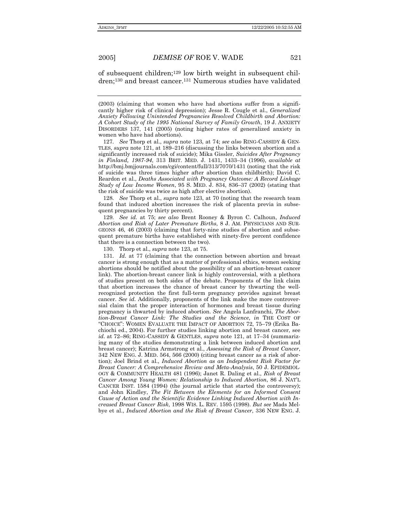of subsequent children;129 low birth weight in subsequent children;130 and breast cancer.131 Numerous studies have validated

127*. See* Thorp et al., *supra* note 123, at 74; *see also* RING-CASSIDY & GEN-TLES, *supra* note 121, at 189–216 (discussing the links between abortion and a significantly increased risk of suicide); Mika Gissler, *Suicides After Pregnancy in Finland, 1987-94, 313 BRIT. MED. J. 1431, 1433-34 (1996), <i>available at* http://bmj.bmjjournals.com/cgi/content/full/313/7070/1431 (noting that the risk of suicide was three times higher after abortion than childbirth); David C. Reardon et al., *Deaths Associated with Pregnancy Outcome: A Record Linkage Study of Low Income Women*, 95 S. MED. J. 834, 836-37 (2002) (stating that the risk of suicide was twice as high after elective abortion).

128*. See* Thorp et al., *supra* note 123, at 70 (noting that the research team found that induced abortion increases the risk of placenta previa in subsequent pregnancies by thirty percent).

129*. See id.* at 75; *see also* Brent Rooney & Byron C. Calhoun, *Induced Abortion and Risk of Later Premature Births*, 8 J. AM. PHYSICIANS AND SUR-GEONS 46, 46 (2003) (claiming that forty-nine studies of abortion and subsequent premature births have established with ninety-five percent confidence that there is a connection between the two).

130. Thorp et al., *supra* note 123, at 75.

131*. Id.* at 77 (claiming that the connection between abortion and breast cancer is strong enough that as a matter of professional ethics, women seeking abortions should be notified about the possibility of an abortion-breast cancer link). The abortion-breast cancer link is highly controversial, with a plethora of studies present on both sides of the debate. Proponents of the link claim that abortion increases the chance of breast cancer by thwarting the wellrecognized protection the first full-term pregnancy provides against breast cancer. *See id.* Additionally, proponents of the link make the more controversial claim that the proper interaction of hormones and breast tissue during pregnancy is thwarted by induced abortion. *See* Angela Lanfranchi, *The Abortion-Breast Cancer Link: The Studies and the Science*, *in* THE COST OF "CHOICE": WOMEN EVALUATE THE IMPACT OF ABORTION 72, 75-79 (Erika Bachiochi ed., 2004). For further studies linking abortion and breast cancer, see *id.* at 72–86; RING-CASSIDY & GENTLES, *supra* note 121, at 17–34 (summarizing many of the studies demonstrating a link between induced abortion and breast cancer); Katrina Armstrong et al., *Assessing the Risk of Breast Cancer*, 342 NEW ENG. J. MED. 564, 566 (2000) (citing breast cancer as a risk of abortion); Joel Brind et al., *Induced Abortion as an Independent Risk Factor for Breast Cancer: A Comprehensive Review and Meta-Analysis*, 50 J. EPIDEMIOL-OGY & COMMUNITY HEALTH 481 (1996); Janet R. Daling et al., *Risk of Breast Cancer Among Young Women: Relationship to Induced Abortion*, 86 J. NATíL CANCER INST. 1584 (1994) (the journal article that started the controversy); and John Kindley, *The Fit Between the Elements for an Informed Consent Cause of Action and the Scientific Evidence Linking Induced Abortion with Increased Breast Cancer Risk*, 1998 WIS. L. REV. 1595 (1998). *But see* Mads Melbye et al., *Induced Abortion and the Risk of Breast Cancer*, 336 NEW ENG. J.

<sup>(2003) (</sup>claiming that women who have had abortions suffer from a significantly higher risk of clinical depression); Jesse R. Cougle et al., *Generalized Anxiety Following Unintended Pregnancies Resolved Childbirth and Abortion: A Cohort Study of the 1995 National Survey of Family Growth*, 19 J. ANXIETY DISORDERS 137, 141 (2005) (noting higher rates of generalized anxiety in women who have had abortions).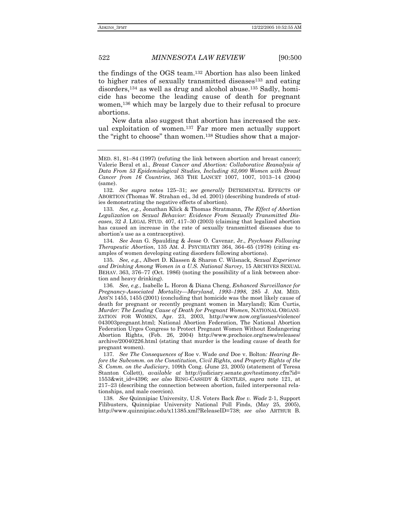the findings of the OGS team.132 Abortion has also been linked to higher rates of sexually transmitted diseases<sup>133</sup> and eating disorders,134 as well as drug and alcohol abuse.135 Sadly, homicide has become the leading cause of death for pregnant women,136 which may be largely due to their refusal to procure abortions.

New data also suggest that abortion has increased the sexual exploitation of women.137 Far more men actually support the "right to choose" than women.<sup>138</sup> Studies show that a major-

132. See supra notes 125-31; see generally DETRIMENTAL EFFECTS OF ABORTION (Thomas W. Strahan ed., 3d ed. 2001) (describing hundreds of studies demonstrating the negative effects of abortion).

133*. See, e.g.*, Jonathan Klick & Thomas Stratmann, *The Effect of Abortion Legalization on Sexual Behavior: Evidence From Sexually Transmitted Diseases*, 32 J. LEGAL STUD. 407, 417-30 (2003) (claiming that legalized abortion has caused an increase in the rate of sexually transmitted diseases due to abortionís use as a contraceptive).

 134. *See* Jean G. Spaulding & Jesse O. Cavenar, Jr., *Psychoses Following Therapeutic Abortion*, 135 AM. J. PSYCHIATRY 364, 364-65 (1978) (citing examples of women developing eating disorders following abortions).

135*. See, e.g.*, Albert D. Klassen & Sharon C. Wilsnack, *Sexual Experience and Drinking Among Women in a U.S. National Survey*, 15 ARCHIVES SEXUAL BEHAV. 363, 376–77 (Oct. 1986) (noting the possibility of a link between abortion and heavy drinking).

136*. See, e.g.*, Isabelle L. Horon & Diana Cheng, *Enhanced Surveillance for Pregnancy-Associated Mortality—Maryland, 1993–1998, 285 J. AM. MED.* ASSíN 1455, 1455 (2001) (concluding that homicide was the most likely cause of death for pregnant or recently pregnant women in Maryland); Kim Curtis, *Murder: The Leading Cause of Death for Pregnant Women*, NATIONAL ORGANI-ZATION FOR WOMEN, Apr. 23, 2003, http://www.now.org/issues/violence/ 043003pregnant.html; National Abortion Federation, The National Abortion Federation Urges Congress to Protect Pregnant Women Without Endangering Abortion Rights, (Feb. 26, 2004) http://www.prochoice.org/news/releases/ archive/20040226.html (stating that murder is the leading cause of death for pregnant women).

137*. See The Consequences of* Roe v. Wade *and* Doe v. Bolton*: Hearing Before the Subcomm. on the Constitution, Civil Rights, and Property Rights of the S. Comm. on the Judiciary*, 109th Cong. (June 23, 2005) (statement of Teresa Stanton Collett), *available at* http://judiciary.senate.gov/testimony.cfm?id= 1553&wit\_id=4396; *see also* RING-CASSIDY & GENTLES, *supra* note 121, at  $217-23$  (describing the connection between abortion, failed interpersonal relationships, and male coercion).

138*. See* Quinnipiac University, U.S. Voters Back *Roe v. Wade* 2-1, Support Filibusters, Quinnipiac University National Poll Finds, (May 25, 2005), http://www.quinnipiac.edu/x11385.xml?ReleaseID=738; *see also* ARTHUR B.

MED. 81, 81–84 (1997) (refuting the link between abortion and breast cancer); Valerie Beral et al., *Breast Cancer and Abortion: Collaborative Reanalysis of Data From 53 Epidemiological Studies, Including 83,000 Women with Breast Cancer from 16 Countries*, 363 THE LANCET 1007, 1007, 1013-14 (2004) (same).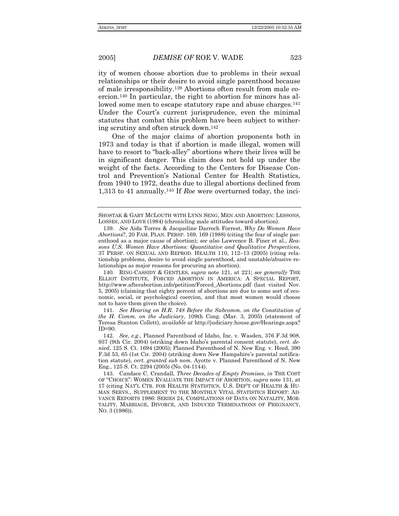ity of women choose abortion due to problems in their sexual relationships or their desire to avoid single parenthood because of male irresponsibility.139 Abortions often result from male coercion.140 In particular, the right to abortion for minors has allowed some men to escape statutory rape and abuse charges.<sup>141</sup> Under the Court's current jurisprudence, even the minimal statutes that combat this problem have been subject to withering scrutiny and often struck down.142

One of the major claims of abortion proponents both in 1973 and today is that if abortion is made illegal, women will have to resort to "back-alley" abortions where their lives will be in significant danger. This claim does not hold up under the weight of the facts. According to the Centers for Disease Control and Preventionís National Center for Health Statistics, from 1940 to 1972, deaths due to illegal abortions declined from 1,313 to 41 annually.143 If *Roe* were overturned today, the inci-

 140. RING-CASSIDY & GENTLES, *supra* note 121, at 221; *see generally* THE ELLIOT INSTITUTE, FORCED ABORTION IN AMERICA: A SPECIAL REPORT, http://www.afterabortion.info/petition/Forced\_Abortions.pdf (last visited Nov. 5, 2005) (claiming that eighty percent of abortions are due to some sort of economic, social, or psychological coercion, and that most women would choose not to have them given the choice).

141*. See Hearing on H.R. 748 Before the Subcomm. on the Constitution of the H. Comm. on the Judiciary*, 109th Cong. (Mar. 3, 2005) (statement of Teresa Stanton Collett), *available at* http://judiciary.house.gov/Hearings.aspx? ID=90.

142*. See, e.g.*, Planned Parenthood of Idaho, Inc. v. Wasden, 376 F.3d 908, 937 (9th Cir. 2004) (striking down Idahoís parental consent statute), *cert. denied*, 125 S. Ct. 1694 (2005); Planned Parenthood of N. New Eng. v. Heed, 390 F.3d 53, 65 (1st Cir. 2004) (striking down New Hampshireís parental notification statute), *cert. granted sub nom.* Ayotte v. Planned Parenthood of N. New Eng., 125 S. Ct. 2294 (2005) (No. 04-1144).

 143. Candace C. Crandall, *Three Decades of Empty Promises*, *in* THE COST OF ìCHOICEî: WOMEN EVALUATE THE IMPACT OF ABORTION, *supra* note 131, at 17 (citing NAT'L CTR. FOR HEALTH STATISTICS, U.S. DEP'T OF HEALTH & HU-MAN SERVS., SUPPLEMENT TO THE MONTHLY VITAL STATISTICS REPORT: AD-VANCE REPORTS 1986: SERIES 24, COMPILATIONS OF DATA ON NATALITY, MOR-TALITY, MARRIAGE, DIVORCE, AND INDUCED TERMINATIONS OF PREGNANCY, NO. 3 (1986)).

SHOSTAK & GARY MCLOUTH WITH LYNN SENG, MEN AND ABORTION: LESSONS, LOSSES, AND LOVE (1984) (chronicling male attitudes toward abortion).

<sup>139</sup>*. See* Aida Torres & Jacqueline Darroch Forrest, *Why Do Women Have Abortions*?, 20 FAM. PLAN. PERSP. 169, 169 (1988) (citing the fear of single parenthood as a major cause of abortion); *see also* Lawrence B. Finer et al., *Reasons U.S. Women Have Abortions: Quantitative and Qualitative Perspectives*,  $37$  PERSP. ON SEXUAL AND REPROD. HEALTH  $110$ ,  $112-13$  (2005) (citing relationship problems, desire to avoid single parenthood, and unstable/abusive relationships as major reasons for procuring an abortion).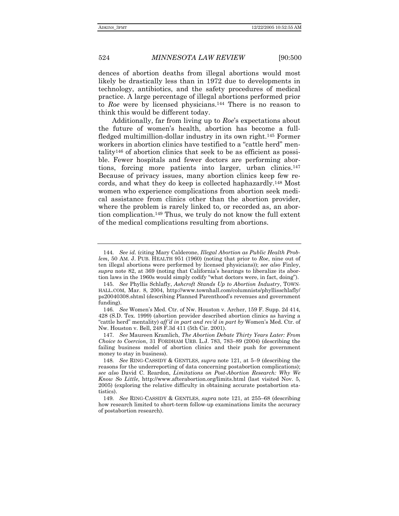dences of abortion deaths from illegal abortions would most likely be drastically less than in 1972 due to developments in technology, antibiotics, and the safety procedures of medical practice. A large percentage of illegal abortions performed prior to *Roe* were by licensed physicians.144 There is no reason to think this would be different today.

Additionally, far from living up to *Roe*ís expectations about the future of womenís health, abortion has become a fullfledged multimillion-dollar industry in its own right.145 Former workers in abortion clinics have testified to a "cattle herd" mentality146 of abortion clinics that seek to be as efficient as possible. Fewer hospitals and fewer doctors are performing abortions, forcing more patients into larger, urban clinics.147 Because of privacy issues, many abortion clinics keep few records, and what they do keep is collected haphazardly.148 Most women who experience complications from abortion seek medical assistance from clinics other than the abortion provider, where the problem is rarely linked to, or recorded as, an abortion complication.149 Thus, we truly do not know the full extent of the medical complications resulting from abortions.

<sup>144</sup>*. See id.* (citing Mary Calderone, *Illegal Abortion as Public Health Problem*, 50 AM. J. PUB. HEALTH 951 (1960) (noting that prior to *Roe*, nine out of ten illegal abortions were performed by licensed physicians)); *see also* Finley, *supra* note 82, at 369 (noting that Californiaís hearings to liberalize its abortion laws in the 1960s would simply codify "what doctors were, in fact, doing").

<sup>145</sup>*. See* Phyllis Schlafly, *Ashcroft Stands Up to Abortion Industry*, TOWN-HALL.COM, Mar. 8, 2004, http://www.townhall.com/columnists/phyllisschlafly/ ps20040308.shtml (describing Planned Parenthood's revenues and government funding).

<sup>146</sup>*. See* Womenís Med. Ctr. of Nw. Houston v. Archer, 159 F. Supp. 2d 414, 428 (S.D. Tex. 1999) (abortion provider described abortion clinics as having a ìcattle herdî mentality) *affíd in part and revíd in part by* Womenís Med. Ctr. of Nw. Houston v. Bell, 248 F.3d 411 (5th Cir. 2001).

<sup>147</sup>*. See* Maureen Kramlich, *The Abortion Debate Thirty Years Later: From Choice to Coercion*, 31 FORDHAM URB. L.J. 783, 783-89 (2004) (describing the failing business model of abortion clinics and their push for government money to stay in business).

<sup>148.</sup> See RING-CASSIDY & GENTLES, *supra* note 121, at 5–9 (describing the reasons for the underreporting of data concerning postabortion complications); *see also* David C. Reardon, *Limitations on Post-Abortion Research: Why We Know So Little*, http://www.afterabortion.org/limits.html (last visited Nov. 5, 2005) (exploring the relative difficulty in obtaining accurate postabortion statistics).

<sup>149.</sup> See RING-CASSIDY & GENTLES, *supra* note 121, at 255-68 (describing how research limited to short-term follow-up examinations limits the accuracy of postabortion research).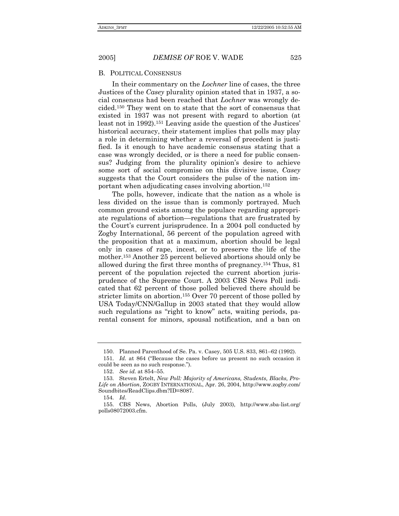#### B. POLITICAL CONSENSUS

In their commentary on the *Lochner* line of cases, the three Justices of the *Casey* plurality opinion stated that in 1937, a social consensus had been reached that *Lochner* was wrongly decided.150 They went on to state that the sort of consensus that existed in 1937 was not present with regard to abortion (at least not in 1992).<sup>151</sup> Leaving aside the question of the Justices' historical accuracy, their statement implies that polls may play a role in determining whether a reversal of precedent is justified. Is it enough to have academic consensus stating that a case was wrongly decided, or is there a need for public consensus? Judging from the plurality opinion's desire to achieve some sort of social compromise on this divisive issue, *Casey*  suggests that the Court considers the pulse of the nation important when adjudicating cases involving abortion.152

The polls, however, indicate that the nation as a whole is less divided on the issue than is commonly portrayed. Much common ground exists among the populace regarding appropriate regulations of abortion—regulations that are frustrated by the Court's current jurisprudence. In a 2004 poll conducted by Zogby International, 56 percent of the population agreed with the proposition that at a maximum, abortion should be legal only in cases of rape, incest, or to preserve the life of the mother.153 Another 25 percent believed abortions should only be allowed during the first three months of pregnancy.154 Thus, 81 percent of the population rejected the current abortion jurisprudence of the Supreme Court. A 2003 CBS News Poll indicated that 62 percent of those polled believed there should be stricter limits on abortion.155 Over 70 percent of those polled by USA Today/CNN/Gallup in 2003 stated that they would allow such regulations as "right to know" acts, waiting periods, parental consent for minors, spousal notification, and a ban on

<sup>150.</sup> Planned Parenthood of Se. Pa. v. Casey, 505 U.S. 833, 861-62 (1992).

<sup>151.</sup> Id. at 864 ("Because the cases before us present no such occasion it could be seen as no such response.").

<sup>152.</sup> See id. at 854-55.

 <sup>153.</sup> Steven Ertelt, *New Poll: Majority of Americans, Students, Blacks, Pro-Life on Abortion*, ZOGBY INTERNATIONAL, Apr. 26, 2004, http://www.zogby.com/ Soundbites/ReadClips.dbm?ID=8087.

<sup>154</sup>*. Id*.

 <sup>155.</sup> CBS News, Abortion Polls, (July 2003), http://www.sba-list.org/ polls08072003.cfm.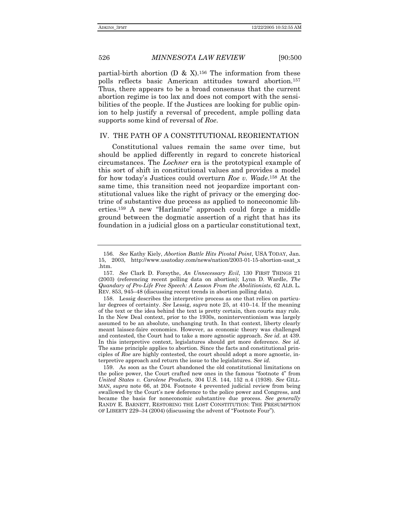partial-birth abortion (D & X).<sup>156</sup> The information from these polls reflects basic American attitudes toward abortion.157 Thus, there appears to be a broad consensus that the current abortion regime is too lax and does not comport with the sensibilities of the people. If the Justices are looking for public opinion to help justify a reversal of precedent, ample polling data supports some kind of reversal of *Roe*.

#### IV. THE PATH OF A CONSTITUTIONAL REORIENTATION

Constitutional values remain the same over time, but should be applied differently in regard to concrete historical circumstances. The *Lochner* era is the prototypical example of this sort of shift in constitutional values and provides a model for how todayís Justices could overturn *Roe v. Wade*.158 At the same time, this transition need not jeopardize important constitutional values like the right of privacy or the emerging doctrine of substantive due process as applied to noneconomic liberties.<sup>159</sup> A new "Harlanite" approach could forge a middle ground between the dogmatic assertion of a right that has its foundation in a judicial gloss on a particular constitutional text,

<sup>156</sup>*. See* Kathy Kiely, *Abortion Battle Hits Pivotal Point*, USA TODAY, Jan. 15, 2003, http://www.usatoday.com/news/nation/2003-01-15-abortion-usat\_x .htm.

<sup>157</sup>*. See* Clark D. Forsythe, *An Unnecessary Evil*, 130 FIRST THINGS 21 (2003) (referencing recent polling data on abortion); Lynn D. Wardle, *The Quandary of Pro-Life Free Speech: A Lesson From the Abolitionists*, 62 ALB. L. REV. 853, 945–48 (discussing recent trends in abortion polling data).

 <sup>158.</sup> Lessig describes the interpretive process as one that relies on particular degrees of certainty. See Lessig, *supra* note 25, at 410–14. If the meaning of the text or the idea behind the text is pretty certain, then courts may rule. In the New Deal context, prior to the 1930s, noninterventionism was largely assumed to be an absolute, unchanging truth. In that context, liberty clearly meant laissez-faire economics. However, as economic theory was challenged and contested, the Court had to take a more agnostic approach. *See id.* at 439. In this interpretive context, legislatures should get more deference. *See id.* The same principle applies to abortion. Since the facts and constitutional principles of *Roe* are highly contested, the court should adopt a more agnostic, interpretive approach and return the issue to the legislatures. *See id.*

 <sup>159.</sup> As soon as the Court abandoned the old constitutional limitations on the police power, the Court crafted new ones in the famous "footnote  $4$ " from *United States v. Carolene Products*, 304 U.S. 144, 152 n.4 (1938). *See* GILL-MAN, *supra* note 66, at 204. Footnote 4 prevented judicial review from being swallowed by the Court's new deference to the police power and Congress, and became the basis for noneconomic substantive due process. *See generally* RANDY E. BARNETT, RESTORING THE LOST CONSTITUTION: THE PRESUMPTION OF LIBERTY 229–34 (2004) (discussing the advent of "Footnote Four").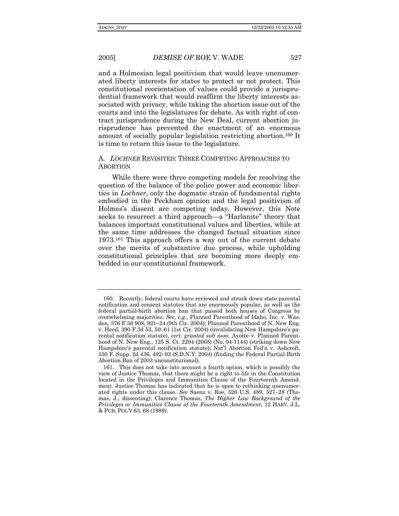and a Holmesian legal positivism that would leave unenumerated liberty interests for states to protect or not protect. This constitutional reorientation of values could provide a jurisprudential framework that would reaffirm the liberty interests associated with privacy, while taking the abortion issue out of the courts and into the legislatures for debate. As with right of contract jurisprudence during the New Deal, current abortion jurisprudence has prevented the enactment of an enormous amount of socially popular legislation restricting abortion.160 It is time to return this issue to the legislature.

#### A. *LOCHNER* REVISITED: THREE COMPETING APPROACHES TO ABORTION

While there were three competing models for resolving the question of the balance of the police power and economic liberties in *Lochner*, only the dogmatic strain of fundamental rights embodied in the Peckham opinion and the legal positivism of Holmesís dissent are competing today. However, this Note seeks to resurrect a third approach—a "Harlanite" theory that balances important constitutional values and liberties, while at the same time addresses the changed factual situation since 1973.161 This approach offers a way out of the current debate over the merits of substantive due process, while upholding constitutional principles that are becoming more deeply embedded in our constitutional framework.

 <sup>160.</sup> Recently, federal courts have reviewed and struck down state parental notification and consent statutes that are enormously popular, as well as the federal partial-birth abortion ban that passed both houses of Congress by overwhelming majorities. *See, e.g.*, Planned Parenthood of Idaho, Inc. v. Wasden, 376 F.3d 908, 921–24 (9th Cir. 2004); Planned Parenthood of N. New Eng. v. Heed, 390 F.3d 53, 59–61 (1st Cir. 2004) (invalidating New Hampshire's parental notification statute), *cert. granted sub nom.* Ayotte v. Planned Parenthood of N. New Eng., 125 S. Ct. 2294 (2005) (No. 04-1144) (striking down New Hampshire's parental notification statute); Nat'l Abortion Fed'n v. Ashcroft,  $330$  F. Supp. 2d  $436$ ,  $492-93$  (S.D.N.Y. 2004) (finding the Federal Partial-Birth Abortion Ban of 2003 unconstitutional).

 <sup>161.</sup> This does not take into account a fourth option, which is possibly the view of Justice Thomas, that there might be a right to life in the Constitution located in the Privileges and Immunities Clause of the Fourteenth Amendment. Justice Thomas has indicated that he is open to rethinking unenumerated rights under this clause. See Saenz v. Roe, 526 U.S. 489, 527-28 (Thomas, J., dissenting); Clarence Thomas, *The Higher Law Background of the Privileges or Immunities Clause of the Fourteenth Amendment*, 12 HARV. J.L. & PUB. POLíY 63, 68 (1989).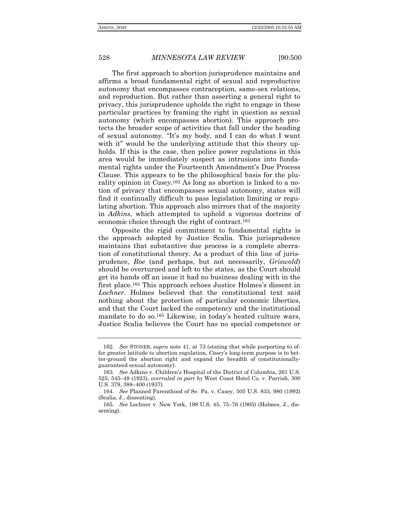The first approach to abortion jurisprudence maintains and affirms a broad fundamental right of sexual and reproductive autonomy that encompasses contraception, same-sex relations, and reproduction. But rather than asserting a general right to privacy, this jurisprudence upholds the right to engage in these particular practices by framing the right in question as sexual autonomy (which encompasses abortion). This approach protects the broader scope of activities that fall under the heading of sexual autonomy. "It's my body, and I can do what I want with it" would be the underlying attitude that this theory upholds. If this is the case, then police power regulations in this area would be immediately suspect as intrusions into fundamental rights under the Fourteenth Amendment's Due Process Clause. This appears to be the philosophical basis for the plurality opinion in *Casey*.162 As long as abortion is linked to a notion of privacy that encompasses sexual autonomy, states will find it continually difficult to pass legislation limiting or regulating abortion. This approach also mirrors that of the majority in *Adkins*, which attempted to uphold a vigorous doctrine of economic choice through the right of contract.163

Opposite the rigid commitment to fundamental rights is the approach adopted by Justice Scalia. This jurisprudence maintains that substantive due process is a complete aberration of constitutional theory. As a product of this line of jurisprudence, *Roe* (and perhaps, but not necessarily, *Griswold*) should be overturned and left to the states, as the Court should get its hands off an issue it had no business dealing with in the first place.<sup>164</sup> This approach echoes Justice Holmes's dissent in *Lochner*. Holmes believed that the constitutional text said nothing about the protection of particular economic liberties, and that the Court lacked the competency and the institutional mandate to do so.<sup>165</sup> Likewise, in today's heated culture wars, Justice Scalia believes the Court has no special competence or

<sup>162</sup>*. See* STONER, *supra* note 41, at 73 (stating that while purporting to offer greater latitude to abortion regulation, *Casey*ís long-term purpose is to better-ground the abortion right and expand the breadth of constitutionallyguaranteed sexual autonomy).

<sup>163.</sup> *See* Adkins v. Childrenís Hospital of the District of Columbia, 261 U.S. 525, 545–48 (1923), *overruled in part by* West Coast Hotel Co. v. Parrish, 300 U.S. 379, 388–400 (1937).

<sup>164</sup>*. See* Planned Parenthood of Se. Pa. v. Casey, 505 U.S. 833, 980 (1992) (Scalia, J., dissenting).

<sup>165.</sup> See Lochner v. New York, 198 U.S. 45, 75-76 (1905) (Holmes, J., dissenting).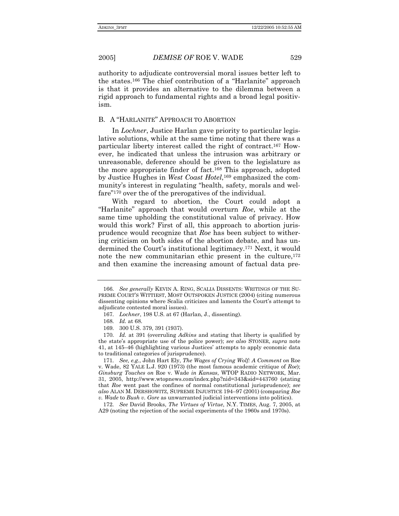authority to adjudicate controversial moral issues better left to the states.<sup>166</sup> The chief contribution of a "Harlanite" approach is that it provides an alternative to the dilemma between a rigid approach to fundamental rights and a broad legal positivism.

#### B. A "HARLANITE" APPROACH TO ABORTION

In *Lochner*, Justice Harlan gave priority to particular legislative solutions, while at the same time noting that there was a particular liberty interest called the right of contract.167 However, he indicated that unless the intrusion was arbitrary or unreasonable, deference should be given to the legislature as the more appropriate finder of fact.168 This approach, adopted by Justice Hughes in *West Coast Hotel*,169 emphasized the community's interest in regulating "health, safety, morals and welfare<sup>"170</sup> over the of the prerogatives of the individual.

With regard to abortion, the Court could adopt a ìHarlaniteî approach that would overturn *Roe*, while at the same time upholding the constitutional value of privacy. How would this work? First of all, this approach to abortion jurisprudence would recognize that *Roe* has been subject to withering criticism on both sides of the abortion debate, and has undermined the Court's institutional legitimacy.<sup>171</sup> Next, it would note the new communitarian ethic present in the culture,  $172$ and then examine the increasing amount of factual data pre-

<sup>166</sup>*. See generally* KEVIN A. RING, SCALIA DISSENTS: WRITINGS OF THE SU-PREME COURTíS WITTIEST, MOST OUTSPOKEN JUSTICE (2004) (citing numerous dissenting opinions where Scalia criticizes and laments the Court's attempt to adjudicate contested moral issues).

<sup>167</sup>*. Lochner*, 198 U.S. at 67 (Harlan, J., dissenting).

<sup>168</sup>*. Id.* at 68.

<sup>169</sup>*.* 300 U.S. 379, 391 (1937).

<sup>170</sup>*. Id.* at 391 (overruling *Adkins* and stating that liberty is qualified by the stateís appropriate use of the police power); *see also* STONER, *supra* note 41, at 145–46 (highlighting various Justices' attempts to apply economic data to traditional categories of jurisprudence).

<sup>171</sup>*. See, e.g.*, John Hart Ely, *The Wages of Crying Wolf: A Comment on* Roe v. Wade, 82 YALE L.J. 920 (1973) (the most famous academic critique of *Roe*); *Ginsburg Touches on* Roe v. Wade *in Kansas*, WTOP RADIO NETWORK, Mar. 31, 2005, http://www.wtopnews.com/index.php?nid=343&sid=443760 (stating that *Roe* went past the confines of normal constitutional jurisprudence); *see also ALAN M. DERSHOWITZ, SUPREME INJUSTICE 194–97 (2001) (comparing Roe v. Wade* to *Bush v. Gore* as unwarranted judicial interventions into politics).

<sup>172</sup>*. See* David Brooks, *The Virtues of Virtue*, N.Y. TIMES, Aug. 7, 2005, at A29 (noting the rejection of the social experiments of the 1960s and 1970s).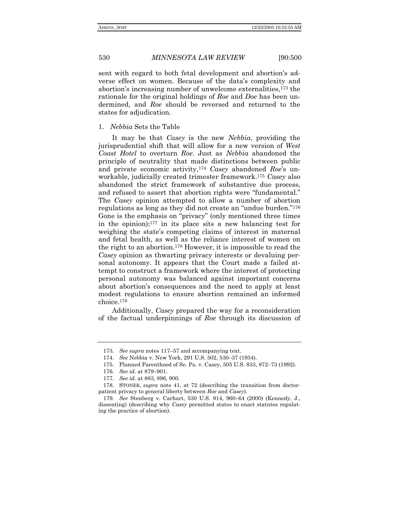sent with regard to both fetal development and abortion's adverse effect on women. Because of the dataís complexity and abortionís increasing number of unwelcome externalities,173 the rationale for the original holdings of *Roe* and *Doe* has been undermined, and *Roe* should be reversed and returned to the states for adjudication.

1. *Nebbia* Sets the Table

It may be that *Casey* is the new *Nebbia*, providing the jurisprudential shift that will allow for a new version of *West Coast Hotel* to overturn *Roe*. Just as *Nebbia* abandoned the principle of neutrality that made distinctions between public and private economic activity,<sup>174</sup> *Casey* abandoned *Roe's* unworkable, judicially created trimester framework.175 *Casey* also abandoned the strict framework of substantive due process, and refused to assert that abortion rights were "fundamental." The *Casey* opinion attempted to allow a number of abortion regulations as long as they did not create an "undue burden."<sup>176</sup> Gone is the emphasis on "privacy" (only mentioned three times in the opinion);177 in its place sits a new balancing test for weighing the state's competing claims of interest in maternal and fetal health, as well as the reliance interest of women on the right to an abortion.178 However, it is impossible to read the *Casey* opinion as thwarting privacy interests or devaluing personal autonomy. It appears that the Court made a failed attempt to construct a framework where the interest of protecting personal autonomy was balanced against important concerns about abortion's consequences and the need to apply at least modest regulations to ensure abortion remained an informed choice.179

Additionally, *Casey* prepared the way for a reconsideration of the factual underpinnings of *Roe* through its discussion of

<sup>173.</sup> See supra notes 117–57 and accompanying text.

<sup>174.</sup> See Nebbia v. New York, 291 U.S. 502, 530-37 (1934).

<sup>175.</sup> Planned Parenthood of Se. Pa. v. Casey, 505 U.S. 833, 872-73 (1992).

<sup>176.</sup> See id. at 879-901.

<sup>177</sup>*. See id.* at 883, 896, 900.

 <sup>178.</sup> STONER, *supra* note 41, at 72 (describing the transition from doctorpatient privacy to general liberty between *Roe* and *Casey*).

<sup>179.</sup> See Stenberg v. Carhart, 530 U.S. 914, 960-64 (2000) (Kennedy, J., dissenting) (describing why *Casey* permitted states to enact statutes regulating the practice of abortion).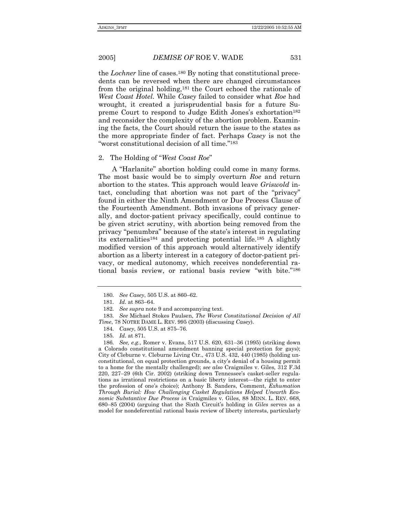the *Lochner* line of cases.180 By noting that constitutional precedents can be reversed when there are changed circumstances from the original holding,181 the Court echoed the rationale of *West Coast Hotel*. While *Casey* failed to consider what *Roe* had wrought, it created a jurisprudential basis for a future Supreme Court to respond to Judge Edith Jones's exhortation<sup>182</sup> and reconsider the complexity of the abortion problem. Examining the facts, the Court should return the issue to the states as the more appropriate finder of fact. Perhaps *Casey* is not the "worst constitutional decision of all time."<sup>183</sup>

#### 2. The Holding of "West Coast Roe"

A "Harlanite" abortion holding could come in many forms. The most basic would be to simply overturn *Roe* and return abortion to the states. This approach would leave *Griswold* intact, concluding that abortion was not part of the "privacy" found in either the Ninth Amendment or Due Process Clause of the Fourteenth Amendment. Both invasions of privacy generally, and doctor-patient privacy specifically, could continue to be given strict scrutiny, with abortion being removed from the privacy "penumbra" because of the state's interest in regulating its externalities184 and protecting potential life.185 A slightly modified version of this approach would alternatively identify abortion as a liberty interest in a category of doctor-patient privacy, or medical autonomy, which receives nondeferential rational basis review, or rational basis review "with bite."<sup>186</sup>

<sup>180.</sup> See Casey, 505 U.S. at 860–62.

<sup>181.</sup> *Id.* at 863–64.

<sup>182</sup>*. See supra* note 9 and accompanying text.

<sup>183</sup>*. See* Michael Stokes Paulsen, *The Worst Constitutional Decision of All Time*, 78 NOTRE DAME L. REV. 995 (2003) (discussing *Casey*).

<sup>184.</sup> Casey, 505 U.S. at 875-76.

<sup>185</sup>*. Id.* at 871.

<sup>186.</sup> See, e.g., Romer v. Evans, 517 U.S. 620, 631–36 (1995) (striking down a Colorado constitutional amendment banning special protection for gays); City of Cleburne v. Cleburne Living Ctr., 473 U.S. 432, 440 (1985) (holding unconstitutional, on equal protection grounds, a cityís denial of a housing permit to a home for the mentally challenged); *see also* Craigmiles v. Giles, 312 F.3d 220, 227-29 (6th Cir. 2002) (striking down Tennessee's casket-seller regulations as irrational restrictions on a basic liberty interest—the right to enter the profession of oneís choice); Anthony B. Sanders, Comment, *Exhumation Through Burial: How Challenging Casket Regulations Helped Unearth Economic Substantive Due Process in* Craigmiles v. Giles, 88 MINN. L. REV. 668, 680–85 (2004) (arguing that the Sixth Circuit's holding in *Giles* serves as a model for nondeferential rational basis review of liberty interests, particularly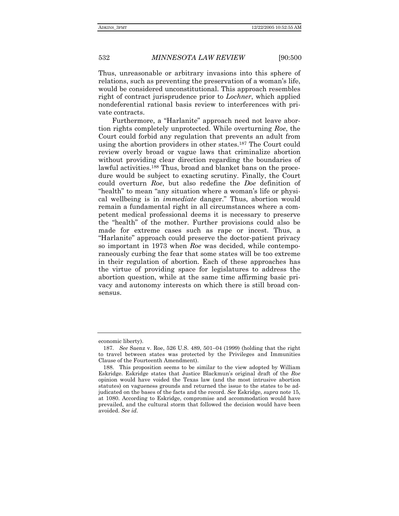Thus, unreasonable or arbitrary invasions into this sphere of relations, such as preventing the preservation of a womanís life, would be considered unconstitutional. This approach resembles right of contract jurisprudence prior to *Lochner*, which applied nondeferential rational basis review to interferences with private contracts.

Furthermore, a "Harlanite" approach need not leave abortion rights completely unprotected. While overturning *Roe*, the Court could forbid any regulation that prevents an adult from using the abortion providers in other states.187 The Court could review overly broad or vague laws that criminalize abortion without providing clear direction regarding the boundaries of lawful activities.188 Thus, broad and blanket bans on the procedure would be subject to exacting scrutiny. Finally, the Court could overturn *Roe*, but also redefine the *Doe* definition of "health" to mean "any situation where a woman's life or physical wellbeing is in *immediate* danger." Thus, abortion would remain a fundamental right in all circumstances where a competent medical professional deems it is necessary to preserve the "health" of the mother. Further provisions could also be made for extreme cases such as rape or incest. Thus, a ìHarlaniteî approach could preserve the doctor-patient privacy so important in 1973 when *Roe* was decided, while contemporaneously curbing the fear that some states will be too extreme in their regulation of abortion. Each of these approaches has the virtue of providing space for legislatures to address the abortion question, while at the same time affirming basic privacy and autonomy interests on which there is still broad consensus.

economic liberty).

<sup>187.</sup> See Saenz v. Roe, 526 U.S. 489, 501–04 (1999) (holding that the right to travel between states was protected by the Privileges and Immunities Clause of the Fourteenth Amendment).

 <sup>188.</sup> This proposition seems to be similar to the view adopted by William Eskridge. Eskridge states that Justice Blackmunís original draft of the *Roe* opinion would have voided the Texas law (and the most intrusive abortion statutes) on vagueness grounds and returned the issue to the states to be adjudicated on the bases of the facts and the record. *See* Eskridge, *supra* note 15, at 1080. According to Eskridge, compromise and accommodation would have prevailed, and the cultural storm that followed the decision would have been avoided. *See id.*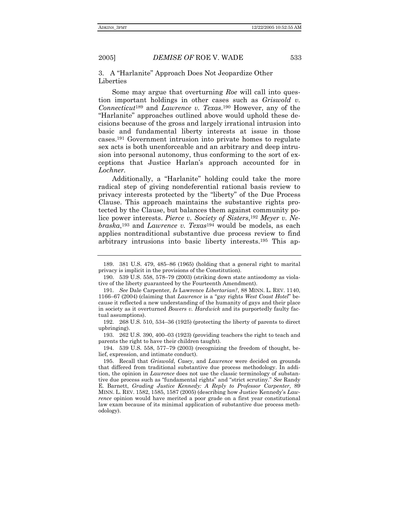#### 3. A "Harlanite" Approach Does Not Jeopardize Other Liberties

Some may argue that overturning *Roe* will call into question important holdings in other cases such as *Griswold v. Connecticut*189 and *Lawrence v. Texas*.190 However, any of the ìHarlaniteî approaches outlined above would uphold these decisions because of the gross and largely irrational intrusion into basic and fundamental liberty interests at issue in those cases.191 Government intrusion into private homes to regulate sex acts is both unenforceable and an arbitrary and deep intrusion into personal autonomy, thus conforming to the sort of exceptions that Justice Harlanís approach accounted for in *Lochner.*

Additionally, a "Harlanite" holding could take the more radical step of giving nondeferential rational basis review to privacy interests protected by the "liberty" of the Due Process Clause. This approach maintains the substantive rights protected by the Clause, but balances them against community police power interests. *Pierce v. Society of Sisters*,192 *Meyer v. Nebraska*,193 and *Lawrence v. Texas*194 would be models, as each applies nontraditional substantive due process review to find arbitrary intrusions into basic liberty interests.195 This ap-

<sup>189. 381</sup> U.S. 479, 485-86 (1965) (holding that a general right to marital privacy is implicit in the provisions of the Constitution).

<sup>190. 539</sup> U.S. 558, 578–79 (2003) (striking down state antisodomy as violative of the liberty guaranteed by the Fourteenth Amendment).

<sup>191</sup>*. See* Dale Carpenter, *Is* Lawrence *Libertarian?*, 88 MINN. L. REV. 1140, 1166-67 (2004) (claiming that *Lawrence* is a "gay rights *West Coast Hotel*" because it reflected a new understanding of the humanity of gays and their place in society as it overturned *Bowers v. Hardwick* and its purportedly faulty factual assumptions).

<sup>192. 268</sup> U.S. 510, 534-36 (1925) (protecting the liberty of parents to direct upbringing).

<sup>193.</sup>  $262 \text{ U.S. } 390, 400-03 \text{ (1923)}$  (providing teachers the right to teach and parents the right to have their children taught).

<sup>194. 539</sup> U.S. 558, 577-79 (2003) (recognizing the freedom of thought, belief, expression, and intimate conduct).

 <sup>195.</sup> Recall that *Griswold*, *Casey*, and *Lawrence* were decided on grounds that differed from traditional substantive due process methodology. In addition, the opinion in *Lawrence* does not use the classic terminology of substantive due process such as "fundamental rights" and "strict scrutiny." See Randy E. Barnett, *Grading Justice Kennedy: A Reply to Professor Carpenter*, 89 MINN. L. REV. 1582, 1585, 1587 (2005) (describing how Justice Kennedyís *Lawrence* opinion would have merited a poor grade on a first year constitutional law exam because of its minimal application of substantive due process methodology).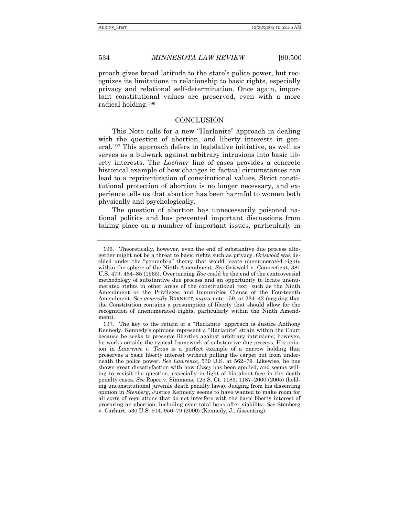proach gives broad latitude to the stateís police power, but recognizes its limitations in relationship to basic rights, especially privacy and relational self-determination. Once again, important constitutional values are preserved, even with a more radical holding.196

#### CONCLUSION

This Note calls for a new "Harlanite" approach in dealing with the question of abortion, and liberty interests in general.197 This approach defers to legislative initiative, as well as serves as a bulwark against arbitrary intrusions into basic liberty interests. The *Lochner* line of cases provides a concrete historical example of how changes in factual circumstances can lead to a reprioritization of constitutional values. Strict constitutional protection of abortion is no longer necessary, and experience tells us that abortion has been harmful to women both physically and psychologically.

The question of abortion has unnecessarily poisoned national politics and has prevented important discussions from taking place on a number of important issues, particularly in

 <sup>196.</sup> Theoretically, however, even the end of substantive due process altogether might not be a threat to basic rights such as privacy. *Griswold* was decided under the "penumbra" theory that would locate unenumerated rights within the sphere of the Ninth Amendment. *See* Griswold v. Connecticut, 381 U.S. 479, 484–85 (1965). Overturning *Roe* could be the end of the controversial methodology of substantive due process and an opportunity to locate unenumerated rights in other areas of the constitutional text, such as the Ninth Amendment or the Privileges and Immunities Clause of the Fourteenth Amendment. *See generally* BARNETT, *supra* note 159, at 234–42 (arguing that the Constitution contains a presumption of liberty that should allow for the recognition of unenumerated rights, particularly within the Ninth Amendment).

<sup>197.</sup> The key to the return of a "Harlanite" approach is Justice Anthony Kennedy. Kennedy's opinions represent a "Harlanite" strain within the Court because he seeks to preserve liberties against arbitrary intrusions; however, he works outside the typical framework of substantive due process. His opinion in *Lawrence v. Texas* is a perfect example of a narrow holding that preserves a basic liberty interest without pulling the carpet out from underneath the police power. *See Lawrence*, 539 U.S. at 562–79. Likewise, he has shown great dissatisfaction with how *Casey* has been applied, and seems willing to revisit the question, especially in light of his about-face in the death penalty cases. *See* Roper v. Simmons, 125 S. Ct. 1183, 1187-2000 (2005) (holding unconstitutional juvenile death penalty laws). Judging from his dissenting opinion in *Stenberg*, Justice Kennedy seems to have wanted to make room for all sorts of regulations that do not interfere with the basic liberty interest of procuring an abortion, including even total bans after viability. *See* Stenberg v. Carhart, 530 U.S. 914, 956–79 (2000) (Kennedy, J., dissenting).